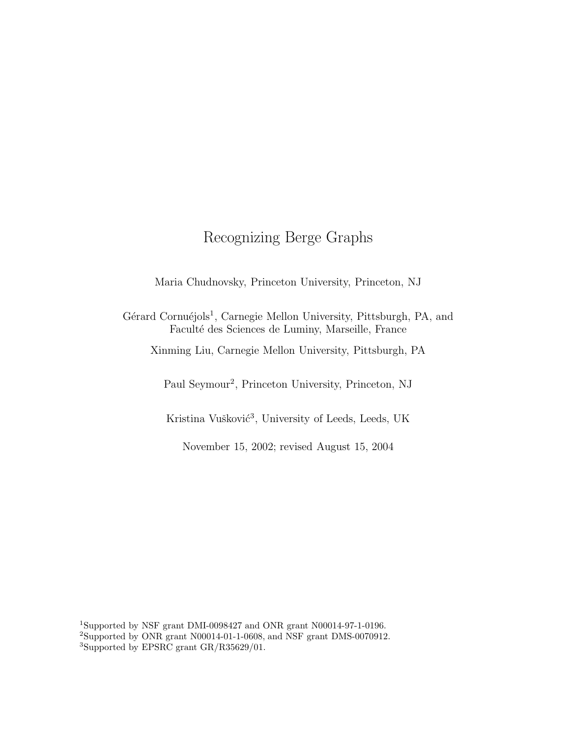# Recognizing Berge Graphs

Maria Chudnovsky, Princeton University, Princeton, NJ

Gérard Cornuéjols<sup>1</sup>, Carnegie Mellon University, Pittsburgh, PA, and Facult´e des Sciences de Luminy, Marseille, France

Xinming Liu, Carnegie Mellon University, Pittsburgh, PA

Paul Seymour<sup>2</sup>, Princeton University, Princeton, NJ

Kristina Vušković<sup>3</sup>, University of Leeds, Leeds, UK

November 15, 2002; revised August 15, 2004

<sup>1</sup>Supported by NSF grant DMI-0098427 and ONR grant N00014-97-1-0196. <sup>2</sup>Supported by ONR grant N00014-01-1-0608, and NSF grant DMS-0070912. <sup>3</sup>Supported by EPSRC grant GR/R35629/01.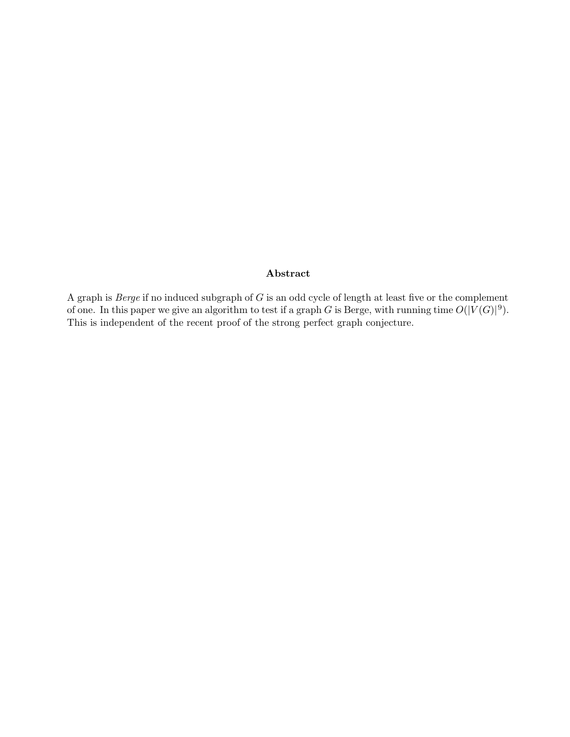### Abstract

A graph is Berge if no induced subgraph of G is an odd cycle of length at least five or the complement of one. In this paper we give an algorithm to test if a graph G is Berge, with running time  $O(|V(G)|^9)$ . This is independent of the recent proof of the strong perfect graph conjecture.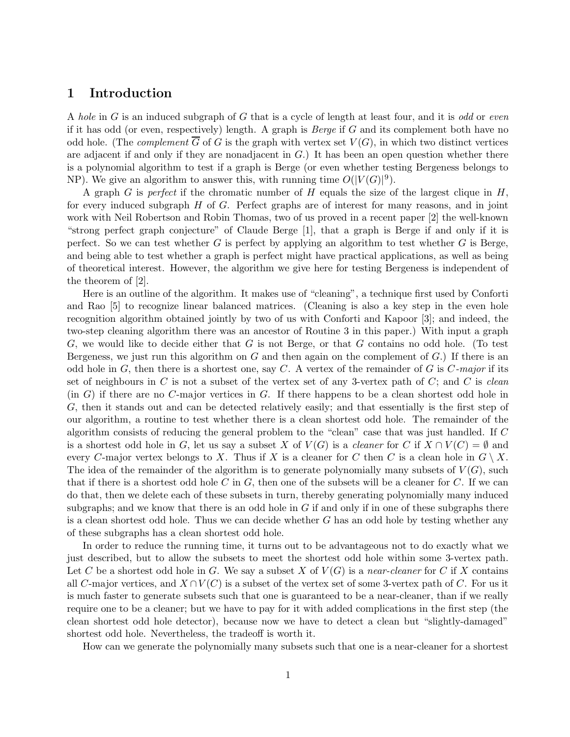### 1 Introduction

A hole in  $G$  is an induced subgraph of  $G$  that is a cycle of length at least four, and it is odd or even if it has odd (or even, respectively) length. A graph is *Berge* if  $G$  and its complement both have no odd hole. (The *complement*  $\overline{G}$  of G is the graph with vertex set  $V(G)$ , in which two distinct vertices are adjacent if and only if they are nonadjacent in G.) It has been an open question whether there is a polynomial algorithm to test if a graph is Berge (or even whether testing Bergeness belongs to NP). We give an algorithm to answer this, with running time  $O(|V(G)|^9)$ .

A graph G is perfect if the chromatic number of H equals the size of the largest clique in  $H$ , for every induced subgraph H of G. Perfect graphs are of interest for many reasons, and in joint work with Neil Robertson and Robin Thomas, two of us proved in a recent paper [2] the well-known "strong perfect graph conjecture" of Claude Berge [1], that a graph is Berge if and only if it is perfect. So we can test whether  $G$  is perfect by applying an algorithm to test whether  $G$  is Berge, and being able to test whether a graph is perfect might have practical applications, as well as being of theoretical interest. However, the algorithm we give here for testing Bergeness is independent of the theorem of [2].

Here is an outline of the algorithm. It makes use of "cleaning", a technique first used by Conforti and Rao [5] to recognize linear balanced matrices. (Cleaning is also a key step in the even hole recognition algorithm obtained jointly by two of us with Conforti and Kapoor [3]; and indeed, the two-step cleaning algorithm there was an ancestor of Routine 3 in this paper.) With input a graph  $G$ , we would like to decide either that G is not Berge, or that G contains no odd hole. (To test Bergeness, we just run this algorithm on  $G$  and then again on the complement of  $G$ .) If there is an odd hole in  $G$ , then there is a shortest one, say C. A vertex of the remainder of  $G$  is  $C$ -major if its set of neighbours in C is not a subset of the vertex set of any 3-vertex path of C; and C is clean  $(in G)$  if there are no  $C$ -major vertices in  $G$ . If there happens to be a clean shortest odd hole in G, then it stands out and can be detected relatively easily; and that essentially is the first step of our algorithm, a routine to test whether there is a clean shortest odd hole. The remainder of the algorithm consists of reducing the general problem to the "clean" case that was just handled. If C is a shortest odd hole in G, let us say a subset X of  $V(G)$  is a *cleaner* for C if  $X \cap V(C) = \emptyset$  and every C-major vertex belongs to X. Thus if X is a cleaner for C then C is a clean hole in  $G \setminus X$ . The idea of the remainder of the algorithm is to generate polynomially many subsets of  $V(G)$ , such that if there is a shortest odd hole C in  $G$ , then one of the subsets will be a cleaner for C. If we can do that, then we delete each of these subsets in turn, thereby generating polynomially many induced subgraphs; and we know that there is an odd hole in  $G$  if and only if in one of these subgraphs there is a clean shortest odd hole. Thus we can decide whether  $G$  has an odd hole by testing whether any of these subgraphs has a clean shortest odd hole.

In order to reduce the running time, it turns out to be advantageous not to do exactly what we just described, but to allow the subsets to meet the shortest odd hole within some 3-vertex path. Let C be a shortest odd hole in G. We say a subset X of  $V(G)$  is a near-cleaner for C if X contains all C-major vertices, and  $X \cap V(C)$  is a subset of the vertex set of some 3-vertex path of C. For us it is much faster to generate subsets such that one is guaranteed to be a near-cleaner, than if we really require one to be a cleaner; but we have to pay for it with added complications in the first step (the clean shortest odd hole detector), because now we have to detect a clean but "slightly-damaged" shortest odd hole. Nevertheless, the tradeoff is worth it.

How can we generate the polynomially many subsets such that one is a near-cleaner for a shortest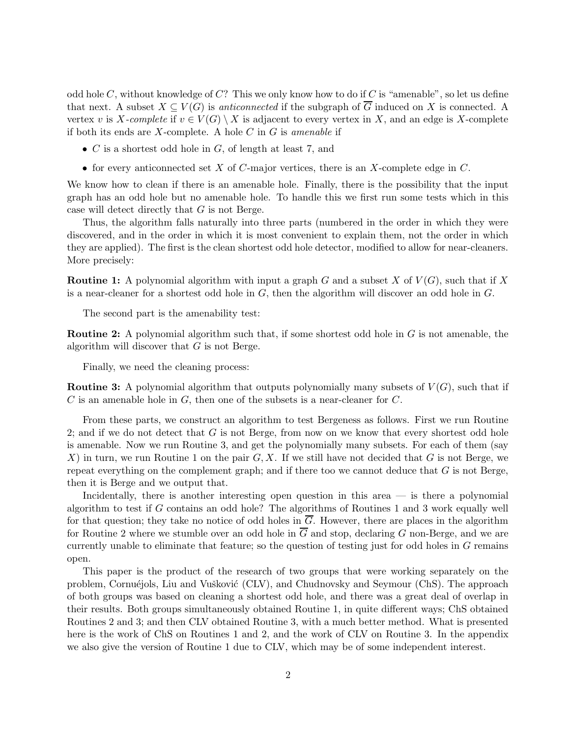odd hole C, without knowledge of C? This we only know how to do if C is "amenable", so let us define that next. A subset  $X \subseteq V(G)$  is *anticonnected* if the subgraph of  $\overline{G}$  induced on X is connected. A vertex v is X-complete if  $v \in V(G) \setminus X$  is adjacent to every vertex in X, and an edge is X-complete if both its ends are  $X$ -complete. A hole  $C$  in  $G$  is amenable if

- $C$  is a shortest odd hole in  $G$ , of length at least 7, and
- for every anticonnected set  $X$  of  $C$ -major vertices, there is an  $X$ -complete edge in  $C$ .

We know how to clean if there is an amenable hole. Finally, there is the possibility that the input graph has an odd hole but no amenable hole. To handle this we first run some tests which in this case will detect directly that G is not Berge.

Thus, the algorithm falls naturally into three parts (numbered in the order in which they were discovered, and in the order in which it is most convenient to explain them, not the order in which they are applied). The first is the clean shortest odd hole detector, modified to allow for near-cleaners. More precisely:

**Routine 1:** A polynomial algorithm with input a graph G and a subset X of  $V(G)$ , such that if X is a near-cleaner for a shortest odd hole in G, then the algorithm will discover an odd hole in G.

The second part is the amenability test:

**Routine 2:** A polynomial algorithm such that, if some shortest odd hole in  $G$  is not amenable, the algorithm will discover that G is not Berge.

Finally, we need the cleaning process:

**Routine 3:** A polynomial algorithm that outputs polynomially many subsets of  $V(G)$ , such that if  $C$  is an amenable hole in  $G$ , then one of the subsets is a near-cleaner for  $C$ .

From these parts, we construct an algorithm to test Bergeness as follows. First we run Routine 2; and if we do not detect that  $G$  is not Berge, from now on we know that every shortest odd hole is amenable. Now we run Routine 3, and get the polynomially many subsets. For each of them (say X) in turn, we run Routine 1 on the pair  $G, X$ . If we still have not decided that G is not Berge, we repeat everything on the complement graph; and if there too we cannot deduce that  $G$  is not Berge, then it is Berge and we output that.

Incidentally, there is another interesting open question in this area  $-$  is there a polynomial algorithm to test if G contains an odd hole? The algorithms of Routines 1 and 3 work equally well for that question; they take no notice of odd holes in  $\overline{G}$ . However, there are places in the algorithm for Routine 2 where we stumble over an odd hole in  $\overline{G}$  and stop, declaring G non-Berge, and we are currently unable to eliminate that feature; so the question of testing just for odd holes in G remains open.

This paper is the product of the research of two groups that were working separately on the problem, Cornuéjols, Liu and Vušković (CLV), and Chudnovsky and Seymour (ChS). The approach of both groups was based on cleaning a shortest odd hole, and there was a great deal of overlap in their results. Both groups simultaneously obtained Routine 1, in quite different ways; ChS obtained Routines 2 and 3; and then CLV obtained Routine 3, with a much better method. What is presented here is the work of ChS on Routines 1 and 2, and the work of CLV on Routine 3. In the appendix we also give the version of Routine 1 due to CLV, which may be of some independent interest.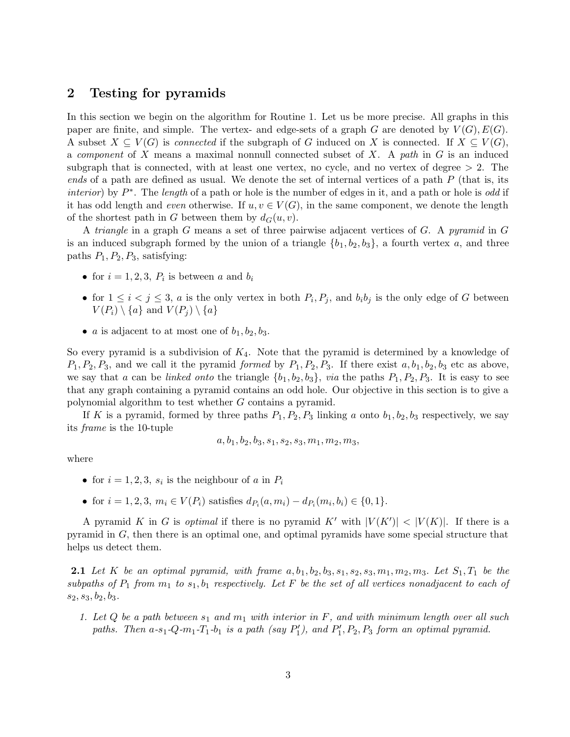### 2 Testing for pyramids

In this section we begin on the algorithm for Routine 1. Let us be more precise. All graphs in this paper are finite, and simple. The vertex- and edge-sets of a graph G are denoted by  $V(G), E(G)$ . A subset  $X \subseteq V(G)$  is *connected* if the subgraph of G induced on X is connected. If  $X \subseteq V(G)$ , a *component* of X means a maximal nonnull connected subset of X. A path in  $G$  is an induced subgraph that is connected, with at least one vertex, no cycle, and no vertex of degree  $> 2$ . The ends of a path are defined as usual. We denote the set of internal vertices of a path  $P$  (that is, its *interior*) by  $P^*$ . The *length* of a path or hole is the number of edges in it, and a path or hole is *odd* if it has odd length and *even* otherwise. If  $u, v \in V(G)$ , in the same component, we denote the length of the shortest path in G between them by  $d_G(u, v)$ .

A triangle in a graph G means a set of three pairwise adjacent vertices of G. A pyramid in G is an induced subgraph formed by the union of a triangle  $\{b_1, b_2, b_3\}$ , a fourth vertex a, and three paths  $P_1$ ,  $P_2$ ,  $P_3$ , satisfying:

- for  $i = 1, 2, 3, P_i$  is between a and  $b_i$
- for  $1 \leq i < j \leq 3$ , a is the only vertex in both  $P_i, P_j$ , and  $b_i b_j$  is the only edge of G between  $V(P_i) \setminus \{a\}$  and  $V(P_i) \setminus \{a\}$
- *a* is adjacent to at most one of  $b_1, b_2, b_3$ .

So every pyramid is a subdivision of  $K_4$ . Note that the pyramid is determined by a knowledge of  $P_1, P_2, P_3$ , and we call it the pyramid formed by  $P_1, P_2, P_3$ . If there exist  $a, b_1, b_2, b_3$  etc as above, we say that a can be linked onto the triangle  $\{b_1, b_2, b_3\}$ , via the paths  $P_1, P_2, P_3$ . It is easy to see that any graph containing a pyramid contains an odd hole. Our objective in this section is to give a polynomial algorithm to test whether G contains a pyramid.

If K is a pyramid, formed by three paths  $P_1, P_2, P_3$  linking a onto  $b_1, b_2, b_3$  respectively, we say its frame is the 10-tuple

$$
a, b1, b2, b3, s1, s2, s3, m1, m2, m3,
$$

where

- for  $i = 1, 2, 3, s_i$  is the neighbour of a in  $P_i$
- for  $i = 1, 2, 3, m_i \in V(P_i)$  satisfies  $d_{P_i}(a, m_i) d_{P_i}(m_i, b_i) \in \{0, 1\}.$

A pyramid K in G is *optimal* if there is no pyramid K' with  $|V(K')| < |V(K)|$ . If there is a pyramid in G, then there is an optimal one, and optimal pyramids have some special structure that helps us detect them.

**2.1** Let K be an optimal pyramid, with frame  $a, b_1, b_2, b_3, s_1, s_2, s_3, m_1, m_2, m_3$ . Let  $S_1, T_1$  be the subpaths of  $P_1$  from  $m_1$  to  $s_1, b_1$  respectively. Let F be the set of all vertices nonadjacent to each of  $s_2, s_3, b_2, b_3.$ 

1. Let Q be a path between  $s_1$  and  $m_1$  with interior in F, and with minimum length over all such paths. Then  $a-s_1-Q-m_1-T_1-b_1$  is a path (say  $P'_1$  $P'_1$ ), and  $P'_1$  $P_1', P_2, P_3$  form an optimal pyramid.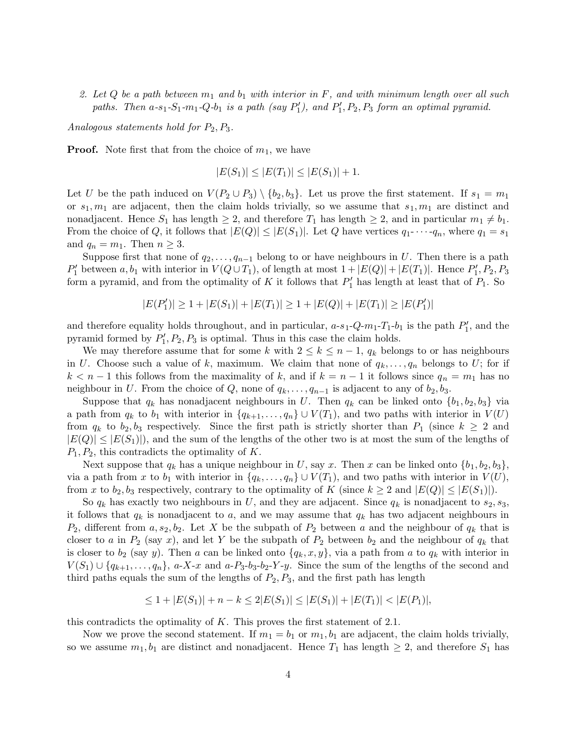2. Let Q be a path between  $m_1$  and  $b_1$  with interior in F, and with minimum length over all such paths. Then  $a-s_1-S_1-m_1-Q-b_1$  is a path (say  $P'_1$ ), and  $P'_1, P_2, P_3$  form an optimal pyramid.

Analogous statements hold for  $P_2, P_3$ .

**Proof.** Note first that from the choice of  $m_1$ , we have

$$
|E(S_1)| \le |E(T_1)| \le |E(S_1)| + 1.
$$

Let U be the path induced on  $V(P_2 \cup P_3) \setminus \{b_2, b_3\}$ . Let us prove the first statement. If  $s_1 = m_1$ or  $s_1, m_1$  are adjacent, then the claim holds trivially, so we assume that  $s_1, m_1$  are distinct and nonadjacent. Hence  $S_1$  has length  $\geq 2$ , and therefore  $T_1$  has length  $\geq 2$ , and in particular  $m_1 \neq b_1$ . From the choice of Q, it follows that  $|E(Q)| \leq |E(S_1)|$ . Let Q have vertices  $q_1 \cdots q_n$ , where  $q_1 = s_1$ and  $q_n = m_1$ . Then  $n \geq 3$ .

Suppose first that none of  $q_2, \ldots, q_{n-1}$  belong to or have neighbours in U. Then there is a path  $P'_1$  between  $a, b_1$  with interior in  $V(Q \cup T_1)$ , of length at most  $1 + |E(Q)| + |E(T_1)|$ . Hence  $P'_1, P_2, P_3$ form a pyramid, and from the optimality of K it follows that  $P'_1$  has length at least that of  $P_1$ . So

$$
|E(P'_1)| \ge 1 + |E(S_1)| + |E(T_1)| \ge 1 + |E(Q)| + |E(T_1)| \ge |E(P'_1)|
$$

and therefore equality holds throughout, and in particular,  $a-s_1-Q-m_1-T_1-b_1$  is the path  $P'_1$ , and the pyramid formed by  $P_1'$  $P'_1, P_2, P_3$  is optimal. Thus in this case the claim holds.

We may therefore assume that for some k with  $2 \leq k \leq n-1$ ,  $q_k$  belongs to or has neighbours in U. Choose such a value of k, maximum. We claim that none of  $q_k, \ldots, q_n$  belongs to U; for if  $k < n-1$  this follows from the maximality of k, and if  $k = n-1$  it follows since  $q_n = m_1$  has no neighbour in U. From the choice of Q, none of  $q_k, \ldots, q_{n-1}$  is adjacent to any of  $b_2, b_3$ .

Suppose that  $q_k$  has nonadjacent neighbours in U. Then  $q_k$  can be linked onto  $\{b_1, b_2, b_3\}$  via a path from  $q_k$  to  $b_1$  with interior in  $\{q_{k+1}, \ldots, q_n\} \cup V(T_1)$ , and two paths with interior in  $V(U)$ from  $q_k$  to  $b_2, b_3$  respectively. Since the first path is strictly shorter than  $P_1$  (since  $k \geq 2$  and  $|E(Q)| \leq |E(S_1)|$ , and the sum of the lengths of the other two is at most the sum of the lengths of  $P_1, P_2$ , this contradicts the optimality of K.

Next suppose that  $q_k$  has a unique neighbour in U, say x. Then x can be linked onto  $\{b_1, b_2, b_3\}$ , via a path from x to  $b_1$  with interior in  $\{q_k, \ldots, q_n\} \cup V(T_1)$ , and two paths with interior in  $V(U)$ , from x to  $b_2, b_3$  respectively, contrary to the optimality of K (since  $k \geq 2$  and  $|E(Q)| \leq |E(S_1)|$ ).

So  $q_k$  has exactly two neighbours in U, and they are adjacent. Since  $q_k$  is nonadjacent to  $s_2, s_3$ , it follows that  $q_k$  is nonadjacent to a, and we may assume that  $q_k$  has two adjacent neighbours in  $P_2$ , different from  $a, s_2, b_2$ . Let X be the subpath of  $P_2$  between a and the neighbour of  $q_k$  that is closer to a in  $P_2$  (say x), and let Y be the subpath of  $P_2$  between  $b_2$  and the neighbour of  $q_k$  that is closer to  $b_2$  (say y). Then a can be linked onto  $\{q_k, x, y\}$ , via a path from a to  $q_k$  with interior in  $V(S_1) \cup \{q_{k+1}, \ldots, q_n\}, a-X-x$  and  $a-P_3-b_3-b_2-Y-y$ . Since the sum of the lengths of the second and third paths equals the sum of the lengths of  $P_2, P_3$ , and the first path has length

$$
\leq 1 + |E(S_1)| + n - k \leq 2|E(S_1)| \leq |E(S_1)| + |E(T_1)| < |E(P_1)|,
$$

this contradicts the optimality of  $K$ . This proves the first statement of 2.1.

Now we prove the second statement. If  $m_1 = b_1$  or  $m_1, b_1$  are adjacent, the claim holds trivially, so we assume  $m_1, b_1$  are distinct and nonadjacent. Hence  $T_1$  has length  $\geq 2$ , and therefore  $S_1$  has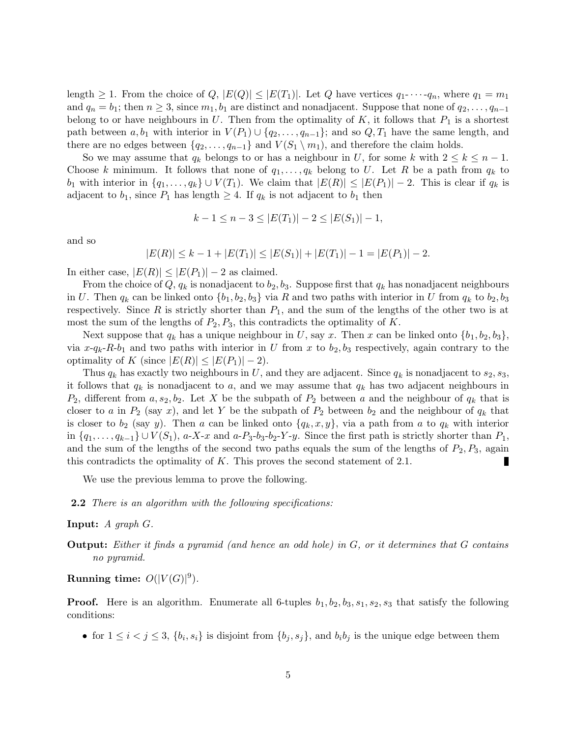length  $\geq 1$ . From the choice of  $Q, |E(Q)| \leq |E(T_1)|$ . Let Q have vertices  $q_1$ - $\cdots$ - $q_n$ , where  $q_1 = m_1$ and  $q_n = b_1$ ; then  $n \geq 3$ , since  $m_1, b_1$  are distinct and nonadjacent. Suppose that none of  $q_2, \ldots, q_{n-1}$ belong to or have neighbours in U. Then from the optimality of  $K$ , it follows that  $P_1$  is a shortest path between  $a, b_1$  with interior in  $V(P_1) \cup \{q_2, \ldots, q_{n-1}\}$ ; and so  $Q, T_1$  have the same length, and there are no edges between  $\{q_2, \ldots, q_{n-1}\}\$  and  $V(S_1 \setminus m_1)$ , and therefore the claim holds.

So we may assume that  $q_k$  belongs to or has a neighbour in U, for some k with  $2 \leq k \leq n-1$ . Choose k minimum. It follows that none of  $q_1, \ldots, q_k$  belong to U. Let R be a path from  $q_k$  to b<sub>1</sub> with interior in  $\{q_1, \ldots, q_k\} \cup V(T_1)$ . We claim that  $|E(R)| \leq |E(P_1)| - 2$ . This is clear if  $q_k$  is adjacent to  $b_1$ , since  $P_1$  has length  $\geq 4$ . If  $q_k$  is not adjacent to  $b_1$  then

$$
k-1 \leq n-3 \leq |E(T_1)|-2 \leq |E(S_1)|-1,
$$

and so

 $|E(R)| \leq k - 1 + |E(T_1)| \leq |E(S_1)| + |E(T_1)| - 1 = |E(P_1)| - 2.$ 

In either case,  $|E(R)| \leq |E(P_1)| - 2$  as claimed.

From the choice of  $Q, q_k$  is nonadjacent to  $b_2, b_3$ . Suppose first that  $q_k$  has nonadjacent neighbours in U. Then  $q_k$  can be linked onto  $\{b_1, b_2, b_3\}$  via R and two paths with interior in U from  $q_k$  to  $b_2, b_3$ respectively. Since R is strictly shorter than  $P_1$ , and the sum of the lengths of the other two is at most the sum of the lengths of  $P_2, P_3$ , this contradicts the optimality of K.

Next suppose that  $q_k$  has a unique neighbour in U, say x. Then x can be linked onto  $\{b_1, b_2, b_3\}$ , via  $x-q_k-R-b_1$  and two paths with interior in U from x to  $b_2, b_3$  respectively, again contrary to the optimality of K (since  $|E(R)| \leq |E(P_1)| - 2$ ).

Thus  $q_k$  has exactly two neighbours in U, and they are adjacent. Since  $q_k$  is nonadjacent to  $s_2, s_3$ , it follows that  $q_k$  is nonadjacent to a, and we may assume that  $q_k$  has two adjacent neighbours in  $P_2$ , different from  $a, s_2, b_2$ . Let X be the subpath of  $P_2$  between a and the neighbour of  $q_k$  that is closer to a in  $P_2$  (say x), and let Y be the subpath of  $P_2$  between  $b_2$  and the neighbour of  $q_k$  that is closer to  $b_2$  (say y). Then a can be linked onto  $\{q_k, x, y\}$ , via a path from a to  $q_k$  with interior in  $\{q_1, \ldots, q_{k-1}\} \cup V(S_1)$ , a-X-x and a-P<sub>3</sub>-b<sub>3</sub>-b<sub>2</sub>-Y-y. Since the first path is strictly shorter than  $P_1$ , and the sum of the lengths of the second two paths equals the sum of the lengths of  $P_2, P_3$ , again this contradicts the optimality of  $K$ . This proves the second statement of 2.1.

We use the previous lemma to prove the following.

**2.2** There is an algorithm with the following specifications:

#### **Input:**  $A \text{ graph } G$ .

Output: Either it finds a pyramid (and hence an odd hole) in G, or it determines that G contains no pyramid.

### Running time:  $O(|V(G)|^9)$ .

**Proof.** Here is an algorithm. Enumerate all 6-tuples  $b_1, b_2, b_3, s_1, s_2, s_3$  that satisfy the following conditions:

• for  $1 \leq i < j \leq 3$ ,  $\{b_i, s_i\}$  is disjoint from  $\{b_j, s_j\}$ , and  $b_i b_j$  is the unique edge between them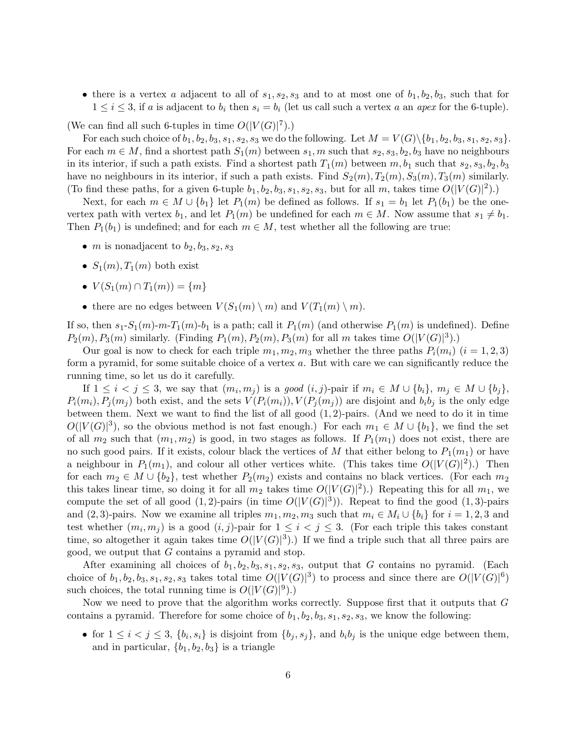• there is a vertex a adjacent to all of  $s_1, s_2, s_3$  and to at most one of  $b_1, b_2, b_3$ , such that for  $1 \leq i \leq 3$ , if a is adjacent to  $b_i$  then  $s_i = b_i$  (let us call such a vertex a an apex for the 6-tuple).

(We can find all such 6-tuples in time  $O(|V(G)|^7)$ .)

For each such choice of  $b_1, b_2, b_3, s_1, s_2, s_3$  we do the following. Let  $M = V(G) \setminus \{b_1, b_2, b_3, s_1, s_2, s_3\}.$ For each  $m \in M$ , find a shortest path  $S_1(m)$  between  $s_1, m$  such that  $s_2, s_3, b_2, b_3$  have no neighbours in its interior, if such a path exists. Find a shortest path  $T_1(m)$  between  $m, b_1$  such that  $s_2, s_3, b_2, b_3$ have no neighbours in its interior, if such a path exists. Find  $S_2(m)$ ,  $T_2(m)$ ,  $S_3(m)$ ,  $T_3(m)$  similarly. (To find these paths, for a given 6-tuple  $b_1, b_2, b_3, s_1, s_2, s_3$ , but for all m, takes time  $O(|V(G)|^2)$ .)

Next, for each  $m \in M \cup \{b_1\}$  let  $P_1(m)$  be defined as follows. If  $s_1 = b_1$  let  $P_1(b_1)$  be the onevertex path with vertex  $b_1$ , and let  $P_1(m)$  be undefined for each  $m \in M$ . Now assume that  $s_1 \neq b_1$ . Then  $P_1(b_1)$  is undefined; and for each  $m \in M$ , test whether all the following are true:

- *m* is nonadjacent to  $b_2, b_3, s_2, s_3$
- $S_1(m)$ ,  $T_1(m)$  both exist
- $V(S_1(m) \cap T_1(m)) = \{m\}$
- there are no edges between  $V(S_1(m) \setminus m)$  and  $V(T_1(m) \setminus m)$ .

If so, then  $s_1-S_1(m)-m-T_1(m)-b_1$  is a path; call it  $P_1(m)$  (and otherwise  $P_1(m)$  is undefined). Define  $P_2(m), P_3(m)$  similarly. (Finding  $P_1(m), P_2(m), P_3(m)$  for all m takes time  $O(|V(G)|^3)$ .)

Our goal is now to check for each triple  $m_1, m_2, m_3$  whether the three paths  $P_i(m_i)$   $(i = 1, 2, 3)$ form a pyramid, for some suitable choice of a vertex a. But with care we can significantly reduce the running time, so let us do it carefully.

If  $1 \leq i < j \leq 3$ , we say that  $(m_i, m_j)$  is a good  $(i, j)$ -pair if  $m_i \in M \cup \{b_i\}$ ,  $m_j \in M \cup \{b_j\}$ ,  $P_i(m_i), P_j(m_j)$  both exist, and the sets  $V(P_i(m_i)), V(P_j(m_j))$  are disjoint and  $b_i b_j$  is the only edge between them. Next we want to find the list of all good  $(1, 2)$ -pairs. (And we need to do it in time  $O(|V(G)|^3)$ , so the obvious method is not fast enough.) For each  $m_1 \in M \cup \{b_1\}$ , we find the set of all  $m_2$  such that  $(m_1, m_2)$  is good, in two stages as follows. If  $P_1(m_1)$  does not exist, there are no such good pairs. If it exists, colour black the vertices of M that either belong to  $P_1(m_1)$  or have a neighbour in  $P_1(m_1)$ , and colour all other vertices white. (This takes time  $O(|V(G)|^2)$ .) Then for each  $m_2 \in M \cup \{b_2\}$ , test whether  $P_2(m_2)$  exists and contains no black vertices. (For each  $m_2$ this takes linear time, so doing it for all  $m_2$  takes time  $O(|V(G)|^2)$ .) Repeating this for all  $m_1$ , we compute the set of all good  $(1,2)$ -pairs (in time  $O(|V(G)|^3)$ ). Repeat to find the good  $(1,3)$ -pairs and (2, 3)-pairs. Now we examine all triples  $m_1, m_2, m_3$  such that  $m_i \in M_i \cup \{b_i\}$  for  $i = 1, 2, 3$  and test whether  $(m_i, m_j)$  is a good  $(i, j)$ -pair for  $1 \leq i < j \leq 3$ . (For each triple this takes constant time, so altogether it again takes time  $O(|V(G)|^3)$ .) If we find a triple such that all three pairs are good, we output that G contains a pyramid and stop.

After examining all choices of  $b_1, b_2, b_3, s_1, s_2, s_3$ , output that G contains no pyramid. (Each choice of  $b_1, b_2, b_3, s_1, s_2, s_3$  takes total time  $O(|V(G)|^3)$  to process and since there are  $O(|V(G)|^6)$ such choices, the total running time is  $O(|V(G)|^9)$ .

Now we need to prove that the algorithm works correctly. Suppose first that it outputs that  $G$ contains a pyramid. Therefore for some choice of  $b_1, b_2, b_3, s_1, s_2, s_3$ , we know the following:

• for  $1 \leq i < j \leq 3$ ,  $\{b_i, s_i\}$  is disjoint from  $\{b_j, s_j\}$ , and  $b_i b_j$  is the unique edge between them, and in particular,  ${b_1, b_2, b_3}$  is a triangle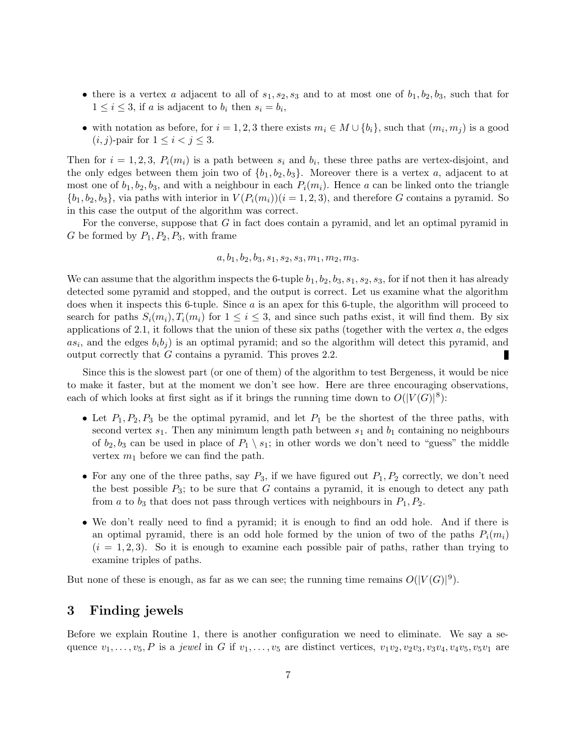- there is a vertex a adjacent to all of  $s_1, s_2, s_3$  and to at most one of  $b_1, b_2, b_3$ , such that for  $1 \leq i \leq 3$ , if a is adjacent to  $b_i$  then  $s_i = b_i$ ,
- with notation as before, for  $i = 1, 2, 3$  there exists  $m_i \in M \cup \{b_i\}$ , such that  $(m_i, m_j)$  is a good  $(i, j)$ -pair for  $1 \leq i < j \leq 3$ .

Then for  $i = 1, 2, 3, P_i(m_i)$  is a path between  $s_i$  and  $b_i$ , these three paths are vertex-disjoint, and the only edges between them join two of  $\{b_1, b_2, b_3\}$ . Moreover there is a vertex a, adjacent to at most one of  $b_1, b_2, b_3$ , and with a neighbour in each  $P_i(m_i)$ . Hence a can be linked onto the triangle  $\{b_1, b_2, b_3\}$ , via paths with interior in  $V(P_i(m_i))(i = 1, 2, 3)$ , and therefore G contains a pyramid. So in this case the output of the algorithm was correct.

For the converse, suppose that G in fact does contain a pyramid, and let an optimal pyramid in G be formed by  $P_1, P_2, P_3$ , with frame

$$
a, b1, b2, b3, s1, s2, s3, m1, m2, m3.
$$

We can assume that the algorithm inspects the 6-tuple  $b_1, b_2, b_3, s_1, s_2, s_3$ , for if not then it has already detected some pyramid and stopped, and the output is correct. Let us examine what the algorithm does when it inspects this 6-tuple. Since a is an apex for this 6-tuple, the algorithm will proceed to search for paths  $S_i(m_i), T_i(m_i)$  for  $1 \leq i \leq 3$ , and since such paths exist, it will find them. By six applications of 2.1, it follows that the union of these six paths (together with the vertex  $a$ , the edges  $as_i$ , and the edges  $b_i b_j$  is an optimal pyramid; and so the algorithm will detect this pyramid, and output correctly that G contains a pyramid. This proves 2.2. г

Since this is the slowest part (or one of them) of the algorithm to test Bergeness, it would be nice to make it faster, but at the moment we don't see how. Here are three encouraging observations, each of which looks at first sight as if it brings the running time down to  $O(|V(G)|^8)$ :

- Let  $P_1, P_2, P_3$  be the optimal pyramid, and let  $P_1$  be the shortest of the three paths, with second vertex  $s_1$ . Then any minimum length path between  $s_1$  and  $b_1$  containing no neighbours of  $b_2, b_3$  can be used in place of  $P_1 \setminus s_1$ ; in other words we don't need to "guess" the middle vertex  $m_1$  before we can find the path.
- For any one of the three paths, say  $P_3$ , if we have figured out  $P_1, P_2$  correctly, we don't need the best possible  $P_3$ ; to be sure that G contains a pyramid, it is enough to detect any path from a to  $b_3$  that does not pass through vertices with neighbours in  $P_1, P_2$ .
- We don't really need to find a pyramid; it is enough to find an odd hole. And if there is an optimal pyramid, there is an odd hole formed by the union of two of the paths  $P_i(m_i)$  $(i = 1, 2, 3)$ . So it is enough to examine each possible pair of paths, rather than trying to examine triples of paths.

But none of these is enough, as far as we can see; the running time remains  $O(|V(G)|^9)$ .

### 3 Finding jewels

Before we explain Routine 1, there is another configuration we need to eliminate. We say a sequence  $v_1, \ldots, v_5, P$  is a jewel in G if  $v_1, \ldots, v_5$  are distinct vertices,  $v_1v_2, v_2v_3, v_3v_4, v_4v_5, v_5v_1$  are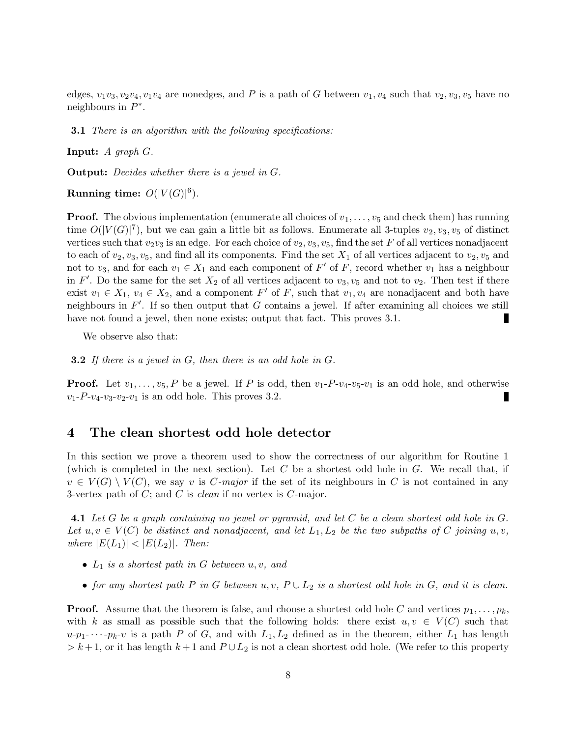edges,  $v_1v_3, v_2v_4, v_1v_4$  are nonedges, and P is a path of G between  $v_1, v_4$  such that  $v_2, v_3, v_5$  have no neighbours in  $P^*$ .

**3.1** There is an algorithm with the following specifications:

**Input:**  $A$  graph  $G$ .

Output: Decides whether there is a jewel in G.

Running time:  $O(|V(G)|^6)$ .

**Proof.** The obvious implementation (enumerate all choices of  $v_1, \ldots, v_5$  and check them) has running time  $O(|V(G)|^7)$ , but we can gain a little bit as follows. Enumerate all 3-tuples  $v_2, v_3, v_5$  of distinct vertices such that  $v_2v_3$  is an edge. For each choice of  $v_2, v_3, v_5$ , find the set F of all vertices nonadjacent to each of  $v_2, v_3, v_5$ , and find all its components. Find the set  $X_1$  of all vertices adjacent to  $v_2, v_5$  and not to  $v_3$ , and for each  $v_1 \in X_1$  and each component of F' of F, record whether  $v_1$  has a neighbour in F'. Do the same for the set  $X_2$  of all vertices adjacent to  $v_3, v_5$  and not to  $v_2$ . Then test if there exist  $v_1 \in X_1$ ,  $v_4 \in X_2$ , and a component F' of F, such that  $v_1, v_4$  are nonadjacent and both have neighbours in  $F'$ . If so then output that G contains a jewel. If after examining all choices we still have not found a jewel, then none exists; output that fact. This proves 3.1.

We observe also that:

**3.2** If there is a jewel in  $G$ , then there is an odd hole in  $G$ .

**Proof.** Let  $v_1, \ldots, v_5, P$  be a jewel. If P is odd, then  $v_1 - P_0 - v_4 - v_5 - v_1$  is an odd hole, and otherwise  $v_1$ -P- $v_4$ - $v_3$ - $v_2$ - $v_1$  is an odd hole. This proves 3.2.

#### 4 The clean shortest odd hole detector

In this section we prove a theorem used to show the correctness of our algorithm for Routine 1 (which is completed in the next section). Let  $C$  be a shortest odd hole in  $G$ . We recall that, if  $v \in V(G) \setminus V(C)$ , we say v is C-major if the set of its neighbours in C is not contained in any 3-vertex path of  $C$ ; and  $C$  is *clean* if no vertex is  $C$ -major.

4.1 Let G be a graph containing no jewel or pyramid, and let C be a clean shortest odd hole in G. Let  $u, v \in V(C)$  be distinct and nonadjacent, and let  $L_1, L_2$  be the two subpaths of C joining  $u, v$ , where  $|E(L_1)| < |E(L_2)|$ . Then:

- $L_1$  is a shortest path in G between  $u, v,$  and
- for any shortest path P in G between u, v,  $P \cup L_2$  is a shortest odd hole in G, and it is clean.

**Proof.** Assume that the theorem is false, and choose a shortest odd hole C and vertices  $p_1, \ldots, p_k$ , with k as small as possible such that the following holds: there exist  $u, v \in V(C)$  such that  $u-p_1$ - $\cdots$ - $p_k$ - $v$  is a path P of G, and with  $L_1, L_2$  defined as in the theorem, either  $L_1$  has length  $> k+1$ , or it has length  $k+1$  and  $P \cup L_2$  is not a clean shortest odd hole. (We refer to this property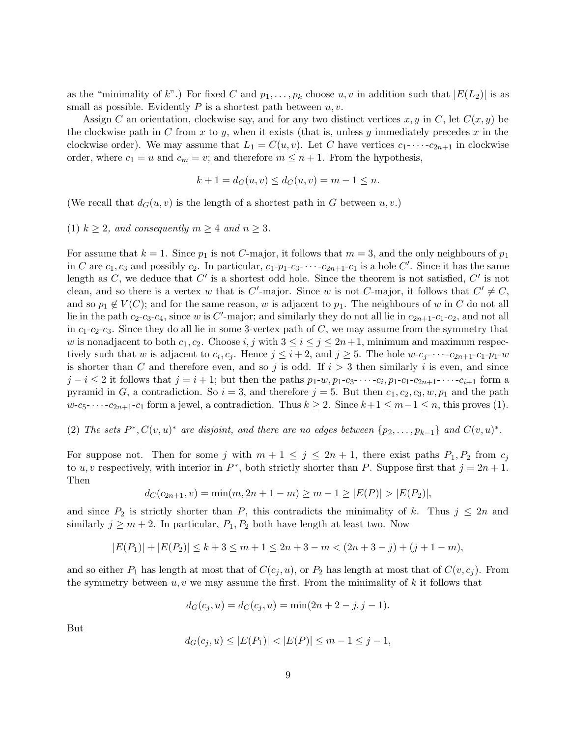as the "minimality of k".) For fixed C and  $p_1, \ldots, p_k$  choose  $u, v$  in addition such that  $|E(L_2)|$  is as small as possible. Evidently  $P$  is a shortest path between  $u, v$ .

Assign C an orientation, clockwise say, and for any two distinct vertices x, y in C, let  $C(x, y)$  be the clockwise path in C from x to y, when it exists (that is, unless y immediately precedes x in the clockwise order). We may assume that  $L_1 = C(u, v)$ . Let C have vertices  $c_1$ - $\cdots$ - $c_{2n+1}$  in clockwise order, where  $c_1 = u$  and  $c_m = v$ ; and therefore  $m \leq n + 1$ . From the hypothesis,

$$
k + 1 = d_G(u, v) \le d_G(u, v) = m - 1 \le n.
$$

(We recall that  $d_G(u, v)$  is the length of a shortest path in G between  $u, v$ .)

(1)  $k \geq 2$ , and consequently  $m \geq 4$  and  $n \geq 3$ .

For assume that  $k = 1$ . Since  $p_1$  is not C-major, it follows that  $m = 3$ , and the only neighbours of  $p_1$ in C are  $c_1, c_3$  and possibly  $c_2$ . In particular,  $c_1-p_1-c_3-\cdots-c_{2n+1}-c_1$  is a hole C'. Since it has the same length as  $C$ , we deduce that  $C'$  is a shortest odd hole. Since the theorem is not satisfied,  $C'$  is not clean, and so there is a vertex w that is C'-major. Since w is not C-major, it follows that  $C' \neq C$ , and so  $p_1 \notin V(C)$ ; and for the same reason, w is adjacent to  $p_1$ . The neighbours of w in C do not all lie in the path  $c_2-c_3-c_4$ , since w is C'-major; and similarly they do not all lie in  $c_{2n+1}-c_1-c_2$ , and not all in  $c_1-c_2-c_3$ . Since they do all lie in some 3-vertex path of C, we may assume from the symmetry that w is nonadjacent to both  $c_1, c_2$ . Choose i, j with  $3 \le i \le j \le 2n+1$ , minimum and maximum respectively such that w is adjacent to  $c_i, c_j$ . Hence  $j \leq i+2$ , and  $j \geq 5$ . The hole  $w-c_j$ - $\cdots$ - $c_{2n+1}$ - $c_1$ - $p_1$ - $w$ is shorter than C and therefore even, and so j is odd. If  $i > 3$  then similarly i is even, and since  $j - i \leq 2$  it follows that  $j = i + 1$ ; but then the paths  $p_1-w, p_1-c_3$ - · · · ·  $-c_i, p_1-c_1-c_{2n+1}$  · · · · ·  $c_{i+1}$  form a pyramid in G, a contradiction. So  $i = 3$ , and therefore  $j = 5$ . But then  $c_1, c_2, c_3, w, p_1$  and the path  $w-c_5$ - · · ·  $c_{2n+1}$ - $c_1$  form a jewel, a contradiction. Thus  $k \geq 2$ . Since  $k+1 \leq m-1 \leq n$ , this proves (1).

(2) The sets  $P^*, C(v, u)^*$  are disjoint, and there are no edges between  $\{p_2, \ldots, p_{k-1}\}\$  and  $C(v, u)^*$ .

For suppose not. Then for some j with  $m + 1 \le j \le 2n + 1$ , there exist paths  $P_1, P_2$  from  $c_j$ to u, v respectively, with interior in  $P^*$ , both strictly shorter than P. Suppose first that  $j = 2n + 1$ . Then

$$
d_C(c_{2n+1}, v) = \min(m, 2n + 1 - m) \ge m - 1 \ge |E(P)| > |E(P_2)|,
$$

and since  $P_2$  is strictly shorter than P, this contradicts the minimality of k. Thus  $j \leq 2n$  and similarly  $j \geq m+2$ . In particular,  $P_1, P_2$  both have length at least two. Now

$$
|E(P_1)| + |E(P_2)| \le k + 3 \le m + 1 \le 2n + 3 - m < (2n + 3 - j) + (j + 1 - m),
$$

and so either  $P_1$  has length at most that of  $C(c_j, u)$ , or  $P_2$  has length at most that of  $C(v, c_j)$ . From the symmetry between  $u, v$  we may assume the first. From the minimality of k it follows that

$$
d_G(c_j, u) = d_C(c_j, u) = \min(2n + 2 - j, j - 1).
$$

But

$$
d_G(c_j, u) \le |E(P_1)| < |E(P)| \le m - 1 \le j - 1,
$$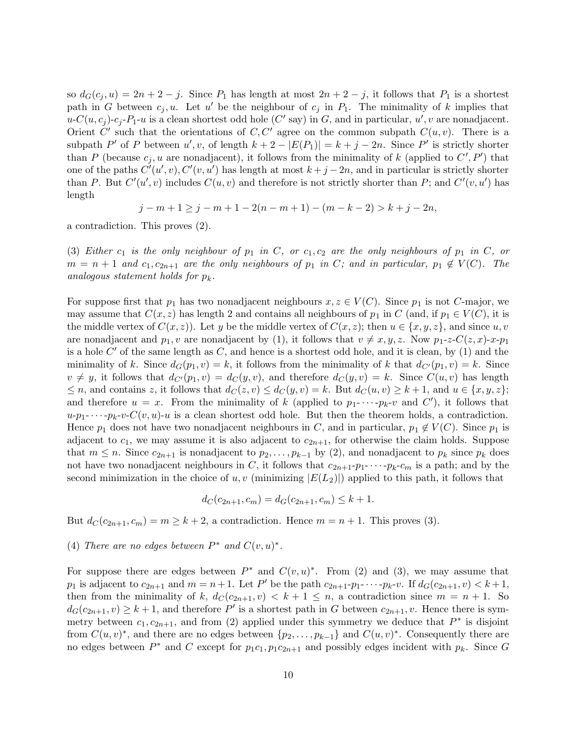so  $d_G(c_j, u) = 2n + 2 - j$ . Since  $P_1$  has length at most  $2n + 2 - j$ , it follows that  $P_1$  is a shortest path in G between  $c_j, u$ . Let u' be the neighbour of  $c_j$  in  $P_1$ . The minimality of k implies that  $u\text{-}C(u,c_j)\text{-}c_j\text{-}P_1\text{-}u$  is a clean shortest odd hole  $(C'$  say) in  $G$ , and in particular,  $u',v$  are nonadjacent. Orient  $C'$  such that the orientations of  $C, C'$  agree on the common subpath  $C(u, v)$ . There is a subpath P' of P between  $u', v$ , of length  $k + 2 - |E(P_1)| = k + j - 2n$ . Since P' is strictly shorter than P (because  $c_j, u$  are nonadjacent), it follows from the minimality of k (applied to  $C', P'$ ) that one of the paths  $C'(u', v), C'(v, u')$  has length at most  $k + j - 2n$ , and in particular is strictly shorter than P. But  $C'(u', v)$  includes  $C(u, v)$  and therefore is not strictly shorter than P; and  $C'(v, u')$  has length

$$
j - m + 1 \ge j - m + 1 - 2(n - m + 1) - (m - k - 2) > k + j - 2n,
$$

a contradiction. This proves (2).

(3) Either  $c_1$  is the only neighbour of  $p_1$  in C, or  $c_1, c_2$  are the only neighbours of  $p_1$  in C, or  $m = n + 1$  and  $c_1, c_{2n+1}$  are the only neighbours of  $p_1$  in C; and in particular,  $p_1 \notin V(C)$ . The analogous statement holds for  $p_k$ .

For suppose first that  $p_1$  has two nonadjacent neighbours  $x, z \in V(C)$ . Since  $p_1$  is not C-major, we may assume that  $C(x, z)$  has length 2 and contains all neighbours of  $p_1$  in C (and, if  $p_1 \in V(C)$ , it is the middle vertex of  $C(x, z)$ . Let y be the middle vertex of  $C(x, z)$ ; then  $u \in \{x, y, z\}$ , and since  $u, v$ are nonadjacent and  $p_1, v$  are nonadjacent by (1), it follows that  $v \neq x, y, z$ . Now  $p_1$ -z- $C(z, x)$ - $x$ - $p_1$ is a hole  $C'$  of the same length as  $C$ , and hence is a shortest odd hole, and it is clean, by (1) and the minimality of k. Since  $d_G(p_1, v) = k$ , it follows from the minimality of k that  $d_{C}(p_1, v) = k$ . Since  $v \neq y$ , it follows that  $d_{C}(p_1, v) = d_{C}(y, v)$ , and therefore  $d_{C}(y, v) = k$ . Since  $C(u, v)$  has length  $\leq n$ , and contains z, it follows that  $d_C(z, v) \leq d_C(y, v) = k$ . But  $d_C(u, v) \geq k + 1$ , and  $u \in \{x, y, z\}$ ; and therefore  $u = x$ . From the minimality of k (applied to  $p_1$ - $\cdots$ - $p_k$ - $v$  and  $C'$ ), it follows that  $u-p_1$ - $\cdots$ - $p_k$ - $v$ - $C(v, u)$ - $u$  is a clean shortest odd hole. But then the theorem holds, a contradiction. Hence  $p_1$  does not have two nonadjacent neighbours in C, and in particular,  $p_1 \notin V(C)$ . Since  $p_1$  is adjacent to  $c_1$ , we may assume it is also adjacent to  $c_{2n+1}$ , for otherwise the claim holds. Suppose that  $m \leq n$ . Since  $c_{2n+1}$  is nonadjacent to  $p_2, \ldots, p_{k-1}$  by (2), and nonadjacent to  $p_k$  since  $p_k$  does not have two nonadjacent neighbours in C, it follows that  $c_{2n+1}$ - $p_1$ - $\cdots$ - $p_k$ - $c_m$  is a path; and by the second minimization in the choice of u, v (minimizing  $|E(L_2)|$ ) applied to this path, it follows that

$$
d_C(c_{2n+1}, c_m) = d_G(c_{2n+1}, c_m) \leq k+1.
$$

But  $d_C(c_{2n+1}, c_m) = m \geq k+2$ , a contradiction. Hence  $m = n+1$ . This proves (3).

# (4) There are no edges between  $P^*$  and  $C(v, u)^*$ .

For suppose there are edges between  $P^*$  and  $C(v, u)^*$ . From (2) and (3), we may assume that  $p_1$  is adjacent to  $c_{2n+1}$  and  $m = n+1$ . Let P' be the path  $c_{2n+1}-p_1-\cdots-p_k-v$ . If  $d_G(c_{2n+1}, v) < k+1$ , then from the minimality of k,  $d_{\mathcal{C}}(c_{2n+1}, v) < k+1 \leq n$ , a contradiction since  $m = n + 1$ . So  $d_G(c_{2n+1}, v) \geq k+1$ , and therefore P' is a shortest path in G between  $c_{2n+1}, v$ . Hence there is symmetry between  $c_1, c_{2n+1}$ , and from (2) applied under this symmetry we deduce that  $P^*$  is disjoint from  $C(u, v)^*$ , and there are no edges between  $\{p_2, \ldots, p_{k-1}\}\$  and  $C(u, v)^*$ . Consequently there are no edges between  $P^*$  and C except for  $p_1c_1, p_1c_{2n+1}$  and possibly edges incident with  $p_k$ . Since G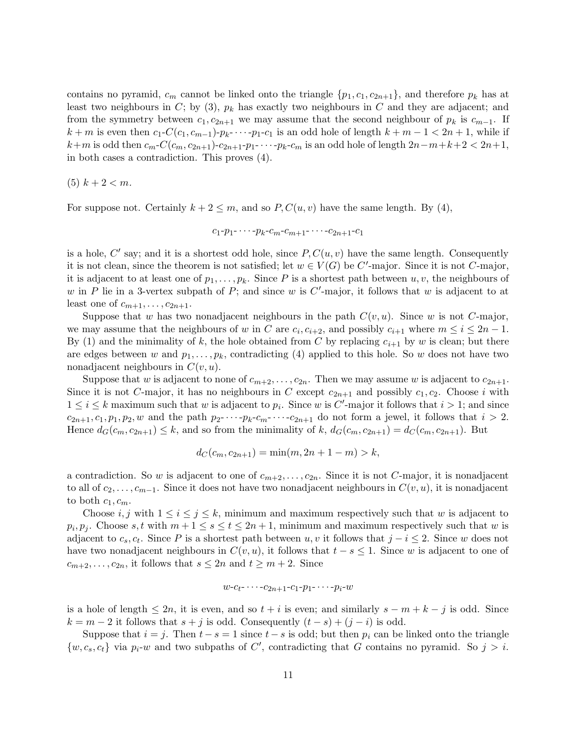contains no pyramid,  $c_m$  cannot be linked onto the triangle  $\{p_1, c_1, c_{2n+1}\}\,$  and therefore  $p_k$  has at least two neighbours in  $C$ ; by (3),  $p_k$  has exactly two neighbours in  $C$  and they are adjacent; and from the symmetry between  $c_1, c_{2n+1}$  we may assume that the second neighbour of  $p_k$  is  $c_{m-1}$ . If  $k + m$  is even then  $c_1-C(c_1, c_{m-1})-p_k-\cdots-p_1-c_1$  is an odd hole of length  $k + m - 1 < 2n + 1$ , while if  $k+m$  is odd then  $c_m-C(c_m, c_{2n+1})-c_{2n+1}-p_1-\cdots-p_k-c_m$  is an odd hole of length  $2n-m+k+2 < 2n+1$ , in both cases a contradiction. This proves (4).

(5)  $k + 2 < m$ .

For suppose not. Certainly  $k + 2 \leq m$ , and so  $P, C(u, v)$  have the same length. By (4),

$$
c_1-p_1-\cdots-p_k-c_m-c_{m+1}-\cdots-c_{2n+1}-c_1
$$

is a hole,  $C'$  say; and it is a shortest odd hole, since  $P, C(u, v)$  have the same length. Consequently it is not clean, since the theorem is not satisfied; let  $w \in V(G)$  be C'-major. Since it is not C-major, it is adjacent to at least one of  $p_1, \ldots, p_k$ . Since P is a shortest path between  $u, v$ , the neighbours of w in P lie in a 3-vertex subpath of P; and since w is C'-major, it follows that w is adjacent to at least one of  $c_{m+1}, \ldots, c_{2n+1}$ .

Suppose that w has two nonadjacent neighbours in the path  $C(v, u)$ . Since w is not C-major, we may assume that the neighbours of w in C are  $c_i, c_{i+2}$ , and possibly  $c_{i+1}$  where  $m \leq i \leq 2n - 1$ . By (1) and the minimality of k, the hole obtained from C by replacing  $c_{i+1}$  by w is clean; but there are edges between w and  $p_1, \ldots, p_k$ , contradicting (4) applied to this hole. So w does not have two nonadjacent neighbours in  $C(v, u)$ .

Suppose that w is adjacent to none of  $c_{m+2}, \ldots, c_{2n}$ . Then we may assume w is adjacent to  $c_{2n+1}$ . Since it is not C-major, it has no neighbours in C except  $c_{2n+1}$  and possibly  $c_1, c_2$ . Choose i with  $1 \leq i \leq k$  maximum such that w is adjacent to  $p_i$ . Since w is C'-major it follows that  $i > 1$ ; and since  $c_{2n+1}, c_1, p_1, p_2, w$  and the path  $p_2$ - $\cdots$ - $p_k$ - $c_m$ - $\cdots$ - $c_{2n+1}$  do not form a jewel, it follows that  $i > 2$ . Hence  $d_G(c_m, c_{2n+1}) \leq k$ , and so from the minimality of k,  $d_G(c_m, c_{2n+1}) = d_G(c_m, c_{2n+1})$ . But

$$
d_C(c_m, c_{2n+1}) = \min(m, 2n + 1 - m) > k,
$$

a contradiction. So w is adjacent to one of  $c_{m+2}, \ldots, c_{2n}$ . Since it is not C-major, it is nonadjacent to all of  $c_2, \ldots, c_{m-1}$ . Since it does not have two nonadjacent neighbours in  $C(v, u)$ , it is nonadjacent to both  $c_1, c_m$ .

Choose i, j with  $1 \le i \le j \le k$ , minimum and maximum respectively such that w is adjacent to  $p_i, p_j$ . Choose s, t with  $m + 1 \leq s \leq t \leq 2n + 1$ , minimum and maximum respectively such that w is adjacent to  $c_s, c_t$ . Since P is a shortest path between  $u, v$  it follows that  $j - i \leq 2$ . Since w does not have two nonadjacent neighbours in  $C(v, u)$ , it follows that  $t - s \leq 1$ . Since w is adjacent to one of  $c_{m+2}, \ldots, c_{2n}$ , it follows that  $s \leq 2n$  and  $t \geq m+2$ . Since

$$
w-c_t-\cdots-c_{2n+1}-c_1-p_1-\cdots-p_i-w
$$

is a hole of length  $\leq 2n$ , it is even, and so  $t + i$  is even; and similarly  $s - m + k - j$  is odd. Since  $k = m - 2$  it follows that  $s + j$  is odd. Consequently  $(t - s) + (j - i)$  is odd.

Suppose that  $i = j$ . Then  $t - s = 1$  since  $t - s$  is odd; but then  $p_i$  can be linked onto the triangle  $\{w, c_s, c_t\}$  via  $p_i-w$  and two subpaths of C', contradicting that G contains no pyramid. So  $j > i$ .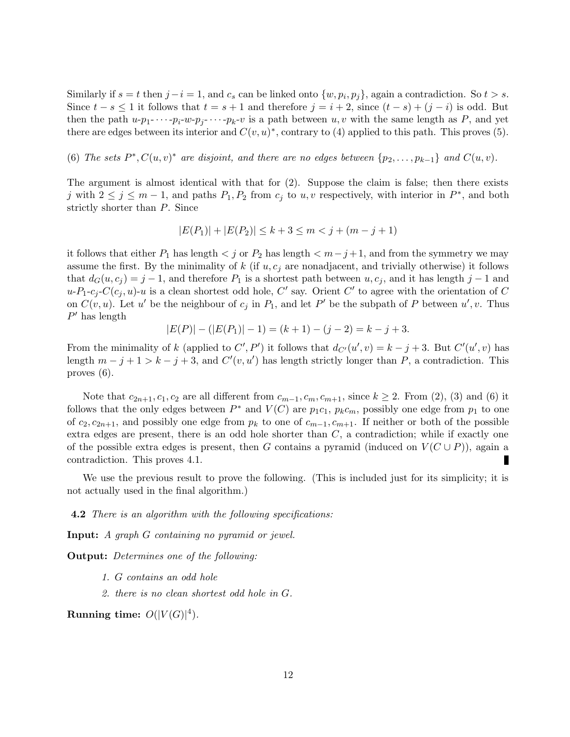Similarly if  $s = t$  then  $j - i = 1$ , and  $c_s$  can be linked onto  $\{w, p_i, p_j\}$ , again a contradiction. So  $t > s$ . Since  $t - s \leq 1$  it follows that  $t = s + 1$  and therefore  $j = i + 2$ , since  $(t - s) + (j - i)$  is odd. But then the path  $u-p_1$ - $\cdots$ - $p_i$ - $w$ - $p_j$ - $\cdots$ - $p_k$ - $v$  is a path between  $u, v$  with the same length as P, and yet there are edges between its interior and  $C(v, u)^*$ , contrary to (4) applied to this path. This proves (5).

(6) The sets  $P^*$ ,  $C(u, v)^*$  are disjoint, and there are no edges between  $\{p_2, \ldots, p_{k-1}\}$  and  $C(u, v)$ .

The argument is almost identical with that for (2). Suppose the claim is false; then there exists j with  $2 \le j \le m-1$ , and paths  $P_1, P_2$  from  $c_j$  to  $u, v$  respectively, with interior in  $P^*$ , and both strictly shorter than P. Since

$$
|E(P_1)| + |E(P_2)| \le k + 3 \le m < j + (m - j + 1)
$$

it follows that either  $P_1$  has length  $\lt j$  or  $P_2$  has length  $\lt m-j+1$ , and from the symmetry we may assume the first. By the minimality of  $k$  (if  $u, c<sub>i</sub>$  are nonadjacent, and trivially otherwise) it follows that  $d_G(u, c_i) = j - 1$ , and therefore  $P_1$  is a shortest path between  $u, c_j$ , and it has length j – 1 and  $u-P_1-c_j-C(c_j, u)-u$  is a clean shortest odd hole, C' say. Orient C' to agree with the orientation of C on  $C(v, u)$ . Let u' be the neighbour of  $c_j$  in  $P_1$ , and let P' be the subpath of P between u', v. Thus  $P'$  has length

$$
|E(P)| - (|E(P_1)| - 1) = (k + 1) - (j - 2) = k - j + 3.
$$

From the minimality of k (applied to C', P') it follows that  $d_{C'}(u',v) = k - j + 3$ . But  $C'(u',v)$  has length  $m - j + 1 > k - j + 3$ , and  $C'(v, u')$  has length strictly longer than P, a contradiction. This proves (6).

Note that  $c_{2n+1}, c_1, c_2$  are all different from  $c_{m-1}, c_m, c_{m+1}$ , since  $k \geq 2$ . From (2), (3) and (6) it follows that the only edges between  $P^*$  and  $V(C)$  are  $p_1c_1$ ,  $p_kc_m$ , possibly one edge from  $p_1$  to one of  $c_2, c_{2n+1}$ , and possibly one edge from  $p_k$  to one of  $c_{m-1}, c_{m+1}$ . If neither or both of the possible extra edges are present, there is an odd hole shorter than  $C$ , a contradiction; while if exactly one of the possible extra edges is present, then G contains a pyramid (induced on  $V(C \cup P)$ ), again a contradiction. This proves 4.1. П

We use the previous result to prove the following. (This is included just for its simplicity; it is not actually used in the final algorithm.)

**4.2** There is an algorithm with the following specifications:

Input: A graph G containing no pyramid or jewel.

Output: Determines one of the following:

- 1. G contains an odd hole
- 2. there is no clean shortest odd hole in G.

Running time:  $O(|V(G)|^4)$ .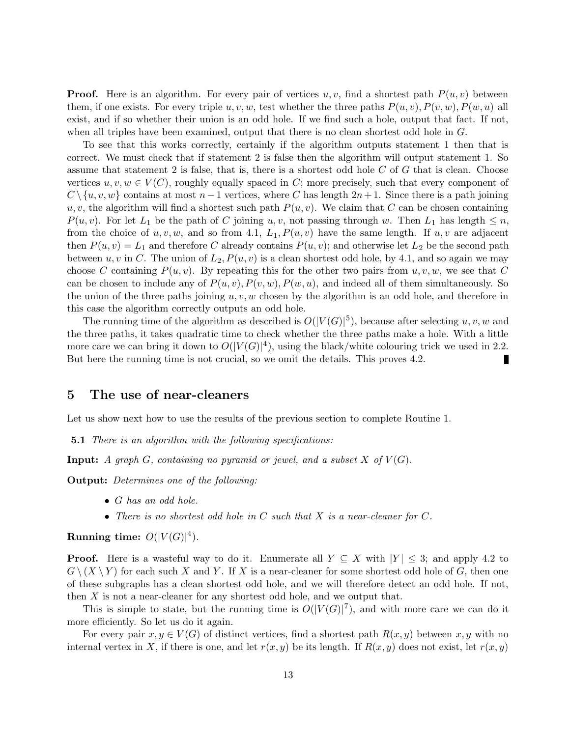**Proof.** Here is an algorithm. For every pair of vertices u, v, find a shortest path  $P(u, v)$  between them, if one exists. For every triple u, v, w, test whether the three paths  $P(u, v), P(v, w), P(w, u)$  all exist, and if so whether their union is an odd hole. If we find such a hole, output that fact. If not, when all triples have been examined, output that there is no clean shortest odd hole in G.

To see that this works correctly, certainly if the algorithm outputs statement 1 then that is correct. We must check that if statement 2 is false then the algorithm will output statement 1. So assume that statement 2 is false, that is, there is a shortest odd hole C of G that is clean. Choose vertices  $u, v, w \in V(C)$ , roughly equally spaced in C; more precisely, such that every component of  $C \setminus \{u, v, w\}$  contains at most  $n-1$  vertices, where C has length  $2n+1$ . Since there is a path joining u, v, the algorithm will find a shortest such path  $P(u, v)$ . We claim that C can be chosen containing  $P(u, v)$ . For let  $L_1$  be the path of C joining  $u, v$ , not passing through w. Then  $L_1$  has length  $\leq n$ , from the choice of  $u, v, w$ , and so from 4.1,  $L_1, P(u, v)$  have the same length. If  $u, v$  are adjacent then  $P(u, v) = L_1$  and therefore C already contains  $P(u, v)$ ; and otherwise let  $L_2$  be the second path between u, v in C. The union of  $L_2$ ,  $P(u, v)$  is a clean shortest odd hole, by 4.1, and so again we may choose C containing  $P(u, v)$ . By repeating this for the other two pairs from  $u, v, w$ , we see that C can be chosen to include any of  $P(u, v), P(v, w), P(w, u)$ , and indeed all of them simultaneously. So the union of the three paths joining  $u, v, w$  chosen by the algorithm is an odd hole, and therefore in this case the algorithm correctly outputs an odd hole.

The running time of the algorithm as described is  $O(|V(G)|^5)$ , because after selecting u, v, w and the three paths, it takes quadratic time to check whether the three paths make a hole. With a little more care we can bring it down to  $O(|V(G)|^4)$ , using the black/white colouring trick we used in 2.2. But here the running time is not crucial, so we omit the details. This proves 4.2.

### 5 The use of near-cleaners

Let us show next how to use the results of the previous section to complete Routine 1.

**5.1** There is an algorithm with the following specifications:

**Input:** A graph G, containing no pyramid or jewel, and a subset X of  $V(G)$ .

Output: Determines one of the following:

- G has an odd hole.
- There is no shortest odd hole in  $C$  such that  $X$  is a near-cleaner for  $C$ .

Running time:  $O(|V(G)|^4)$ .

**Proof.** Here is a wasteful way to do it. Enumerate all  $Y \subseteq X$  with  $|Y| \leq 3$ ; and apply 4.2 to  $G \setminus (X \setminus Y)$  for each such X and Y. If X is a near-cleaner for some shortest odd hole of G, then one of these subgraphs has a clean shortest odd hole, and we will therefore detect an odd hole. If not, then X is not a near-cleaner for any shortest odd hole, and we output that.

This is simple to state, but the running time is  $O(|V(G)|^7)$ , and with more care we can do it more efficiently. So let us do it again.

For every pair  $x, y \in V(G)$  of distinct vertices, find a shortest path  $R(x, y)$  between x, y with no internal vertex in X, if there is one, and let  $r(x, y)$  be its length. If  $R(x, y)$  does not exist, let  $r(x, y)$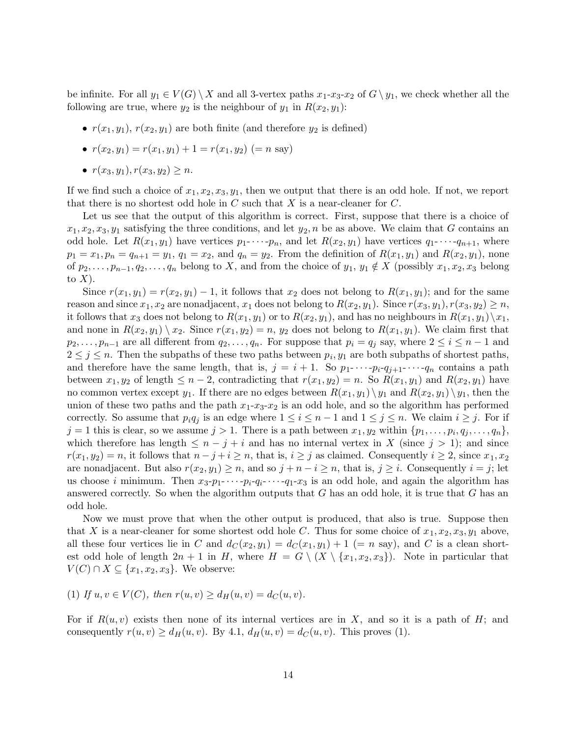be infinite. For all  $y_1 \in V(G) \setminus X$  and all 3-vertex paths  $x_1-x_3-x_2$  of  $G \setminus y_1$ , we check whether all the following are true, where  $y_2$  is the neighbour of  $y_1$  in  $R(x_2, y_1)$ :

- $r(x_1, y_1)$ ,  $r(x_2, y_1)$  are both finite (and therefore  $y_2$  is defined)
- $r(x_2, y_1) = r(x_1, y_1) + 1 = r(x_1, y_2)$  (= n say)
- $r(x_3, y_1), r(x_3, y_2) \geq n$ .

If we find such a choice of  $x_1, x_2, x_3, y_1$ , then we output that there is an odd hole. If not, we report that there is no shortest odd hole in C such that X is a near-cleaner for  $C$ .

Let us see that the output of this algorithm is correct. First, suppose that there is a choice of  $x_1, x_2, x_3, y_1$  satisfying the three conditions, and let  $y_2, n$  be as above. We claim that G contains an odd hole. Let  $R(x_1, y_1)$  have vertices  $p_1$ - $\cdots$ - $p_n$ , and let  $R(x_2, y_1)$  have vertices  $q_1$ - $\cdots$ - $q_{n+1}$ , where  $p_1 = x_1, p_n = q_{n+1} = y_1, q_1 = x_2$ , and  $q_n = y_2$ . From the definition of  $R(x_1, y_1)$  and  $R(x_2, y_1)$ , none of  $p_2, \ldots, p_{n-1}, q_2, \ldots, q_n$  belong to X, and from the choice of  $y_1, y_1 \notin X$  (possibly  $x_1, x_2, x_3$  belong to  $X$ ).

Since  $r(x_1, y_1) = r(x_2, y_1) - 1$ , it follows that  $x_2$  does not belong to  $R(x_1, y_1)$ ; and for the same reason and since  $x_1, x_2$  are nonadjacent,  $x_1$  does not belong to  $R(x_2, y_1)$ . Since  $r(x_3, y_1)$ ,  $r(x_3, y_2) \geq n$ , it follows that  $x_3$  does not belong to  $R(x_1, y_1)$  or to  $R(x_2, y_1)$ , and has no neighbours in  $R(x_1, y_1)\setminus x_1$ , and none in  $R(x_2, y_1) \setminus x_2$ . Since  $r(x_1, y_2) = n$ ,  $y_2$  does not belong to  $R(x_1, y_1)$ . We claim first that  $p_2, \ldots, p_{n-1}$  are all different from  $q_2, \ldots, q_n$ . For suppose that  $p_i = q_j$  say, where  $2 \leq i \leq n-1$  and  $2 \leq j \leq n$ . Then the subpaths of these two paths between  $p_i, y_1$  are both subpaths of shortest paths, and therefore have the same length, that is,  $j = i + 1$ . So  $p_1$ - $\cdots$ - $p_i$ - $q_{i+1}$ - $\cdots$ - $q_n$  contains a path between  $x_1, y_2$  of length  $\leq n-2$ , contradicting that  $r(x_1, y_2) = n$ . So  $R(x_1, y_1)$  and  $R(x_2, y_1)$  have no common vertex except  $y_1$ . If there are no edges between  $R(x_1, y_1) \setminus y_1$  and  $R(x_2, y_1) \setminus y_1$ , then the union of these two paths and the path  $x_1-x_3-x_2$  is an odd hole, and so the algorithm has performed correctly. So assume that  $p_iq_j$  is an edge where  $1 \leq i \leq n-1$  and  $1 \leq j \leq n$ . We claim  $i \geq j$ . For if  $j = 1$  this is clear, so we assume  $j > 1$ . There is a path between  $x_1, y_2$  within  $\{p_1, \ldots, p_i, q_j, \ldots, q_n\}$ , which therefore has length  $\leq n-j+i$  and has no internal vertex in X (since  $j>1$ ); and since  $r(x_1, y_2) = n$ , it follows that  $n - j + i \geq n$ , that is,  $i \geq j$  as claimed. Consequently  $i \geq 2$ , since  $x_1, x_2$ are nonadjacent. But also  $r(x_2, y_1) \geq n$ , and so  $j + n - i \geq n$ , that is,  $j \geq i$ . Consequently  $i = j$ ; let us choose i minimum. Then  $x_3-p_1-\cdots-p_i-q_1-x_3$  is an odd hole, and again the algorithm has answered correctly. So when the algorithm outputs that  $G$  has an odd hole, it is true that  $G$  has an odd hole.

Now we must prove that when the other output is produced, that also is true. Suppose then that X is a near-cleaner for some shortest odd hole C. Thus for some choice of  $x_1, x_2, x_3, y_1$  above, all these four vertices lie in C and  $d_C(x_2, y_1) = d_C(x_1, y_1) + 1$  (= n say), and C is a clean shortest odd hole of length  $2n + 1$  in H, where  $H = G \setminus (X \setminus \{x_1, x_2, x_3\})$ . Note in particular that  $V(C) \cap X \subseteq \{x_1, x_2, x_3\}.$  We observe:

(1) If  $u, v \in V(C)$ , then  $r(u, v) \ge d_H(u, v) = d_C(u, v)$ .

For if  $R(u, v)$  exists then none of its internal vertices are in X, and so it is a path of H; and consequently  $r(u, v) \ge d_H(u, v)$ . By 4.1,  $d_H(u, v) = d_C(u, v)$ . This proves (1).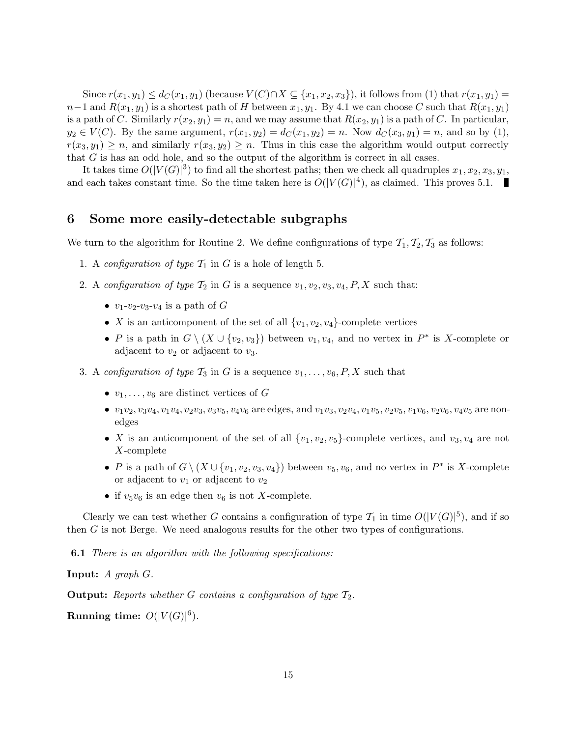Since  $r(x_1, y_1) \leq d_C(x_1, y_1)$  (because  $V(C) \cap X \subseteq \{x_1, x_2, x_3\}$ ), it follows from (1) that  $r(x_1, y_1) =$  $n-1$  and  $R(x_1, y_1)$  is a shortest path of H between  $x_1, y_1$ . By 4.1 we can choose C such that  $R(x_1, y_1)$ is a path of C. Similarly  $r(x_2, y_1) = n$ , and we may assume that  $R(x_2, y_1)$  is a path of C. In particular,  $y_2 \in V(C)$ . By the same argument,  $r(x_1, y_2) = d_C(x_1, y_2) = n$ . Now  $d_C(x_3, y_1) = n$ , and so by (1),  $r(x_3, y_1) \geq n$ , and similarly  $r(x_3, y_2) \geq n$ . Thus in this case the algorithm would output correctly that G is has an odd hole, and so the output of the algorithm is correct in all cases.

It takes time  $O(|V(G)|^3)$  to find all the shortest paths; then we check all quadruples  $x_1, x_2, x_3, y_1$ , and each takes constant time. So the time taken here is  $O(|V(G)|^4)$ , as claimed. This proves 5.1.

### 6 Some more easily-detectable subgraphs

We turn to the algorithm for Routine 2. We define configurations of type  $T_1, T_2, T_3$  as follows:

- 1. A configuration of type  $\mathcal{T}_1$  in G is a hole of length 5.
- 2. A configuration of type  $\mathcal{T}_2$  in G is a sequence  $v_1, v_2, v_3, v_4, P, X$  such that:
	- $v_1-v_2-v_3-v_4$  is a path of G
	- X is an anticomponent of the set of all  $\{v_1, v_2, v_4\}$ -complete vertices
	- P is a path in  $G \setminus (X \cup \{v_2, v_3\})$  between  $v_1, v_4$ , and no vertex in  $P^*$  is X-complete or adjacent to  $v_2$  or adjacent to  $v_3$ .
- 3. A configuration of type  $\mathcal{T}_3$  in G is a sequence  $v_1, \ldots, v_6, P, X$  such that
	- $v_1, \ldots, v_6$  are distinct vertices of G
	- $v_1v_2, v_3v_4, v_1v_4, v_2v_3, v_3v_5, v_4v_6$  are edges, and  $v_1v_3, v_2v_4, v_1v_5, v_2v_5, v_1v_6, v_2v_6, v_4v_5$  are nonedges
	- X is an anticomponent of the set of all  $\{v_1, v_2, v_5\}$ -complete vertices, and  $v_3, v_4$  are not X-complete
	- P is a path of  $G \setminus (X \cup \{v_1, v_2, v_3, v_4\})$  between  $v_5, v_6$ , and no vertex in  $P^*$  is X-complete or adjacent to  $v_1$  or adjacent to  $v_2$
	- if  $v_5v_6$  is an edge then  $v_6$  is not X-complete.

Clearly we can test whether G contains a configuration of type  $\mathcal{T}_1$  in time  $O(|V(G)|^5)$ , and if so then G is not Berge. We need analogous results for the other two types of configurations.

**6.1** There is an algorithm with the following specifications:

Input: A graph G.

**Output:** Reports whether G contains a configuration of type  $\mathcal{T}_2$ .

Running time:  $O(|V(G)|^6)$ .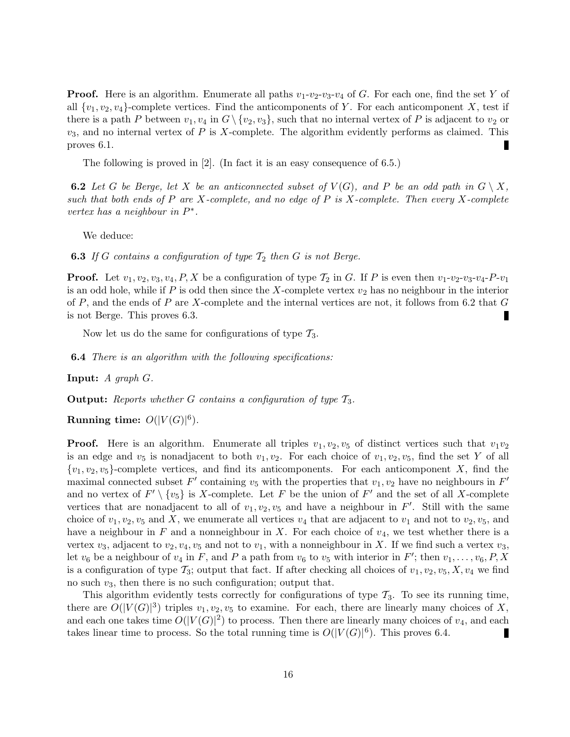**Proof.** Here is an algorithm. Enumerate all paths  $v_1-v_2-v_3-v_4$  of G. For each one, find the set Y of all  $\{v_1, v_2, v_4\}$ -complete vertices. Find the anticomponents of Y. For each anticomponent X, test if there is a path P between  $v_1, v_4$  in  $G \setminus \{v_2, v_3\}$ , such that no internal vertex of P is adjacent to  $v_2$  or  $v_3$ , and no internal vertex of P is X-complete. The algorithm evidently performs as claimed. This proves 6.1.

The following is proved in [2]. (In fact it is an easy consequence of 6.5.)

**6.2** Let G be Berge, let X be an anticonnected subset of  $V(G)$ , and P be an odd path in  $G \setminus X$ , such that both ends of P are X-complete, and no edge of P is X-complete. Then every X-complete vertex has a neighbour in  $P^*$ .

We deduce:

**6.3** If G contains a configuration of type  $\mathcal{T}_2$  then G is not Berge.

**Proof.** Let  $v_1, v_2, v_3, v_4, P, X$  be a configuration of type  $\mathcal{T}_2$  in G. If P is even then  $v_1-v_2-v_3-v_4-P-v_1$ is an odd hole, while if P is odd then since the X-complete vertex  $v_2$  has no neighbour in the interior of  $P$ , and the ends of  $P$  are X-complete and the internal vertices are not, it follows from 6.2 that  $G$ is not Berge. This proves 6.3.

Now let us do the same for configurations of type  $\mathcal{T}_3$ .

**6.4** There is an algorithm with the following specifications:

**Input:**  $A$  graph  $G$ .

**Output:** Reports whether G contains a configuration of type  $\mathcal{T}_3$ .

Running time:  $O(|V(G)|^6)$ .

**Proof.** Here is an algorithm. Enumerate all triples  $v_1, v_2, v_5$  of distinct vertices such that  $v_1v_2$ is an edge and  $v_5$  is nonadjacent to both  $v_1, v_2$ . For each choice of  $v_1, v_2, v_5$ , find the set Y of all  ${v_1, v_2, v_5}$ -complete vertices, and find its anticomponents. For each anticomponent X, find the maximal connected subset  $F'$  containing  $v_5$  with the properties that  $v_1, v_2$  have no neighbours in  $F'$ and no vertex of  $F' \setminus \{v_5\}$  is X-complete. Let F be the union of F' and the set of all X-complete vertices that are nonadjacent to all of  $v_1, v_2, v_5$  and have a neighbour in F'. Still with the same choice of  $v_1, v_2, v_5$  and X, we enumerate all vertices  $v_4$  that are adjacent to  $v_1$  and not to  $v_2, v_5$ , and have a neighbour in  $F$  and a nonneighbour in  $X$ . For each choice of  $v_4$ , we test whether there is a vertex  $v_3$ , adjacent to  $v_2, v_4, v_5$  and not to  $v_1$ , with a nonneighbour in X. If we find such a vertex  $v_3$ , let  $v_6$  be a neighbour of  $v_4$  in F, and P a path from  $v_6$  to  $v_5$  with interior in F'; then  $v_1, \ldots, v_6, P, X$ is a configuration of type  $\mathcal{T}_3$ ; output that fact. If after checking all choices of  $v_1, v_2, v_5, X, v_4$  we find no such  $v_3$ , then there is no such configuration; output that.

This algorithm evidently tests correctly for configurations of type  $\mathcal{T}_3$ . To see its running time, there are  $O(|V(G)|^3)$  triples  $v_1, v_2, v_5$  to examine. For each, there are linearly many choices of X, and each one takes time  $O(|V(G)|^2)$  to process. Then there are linearly many choices of  $v_4$ , and each takes linear time to process. So the total running time is  $O(|V(G)|^6)$ . This proves 6.4.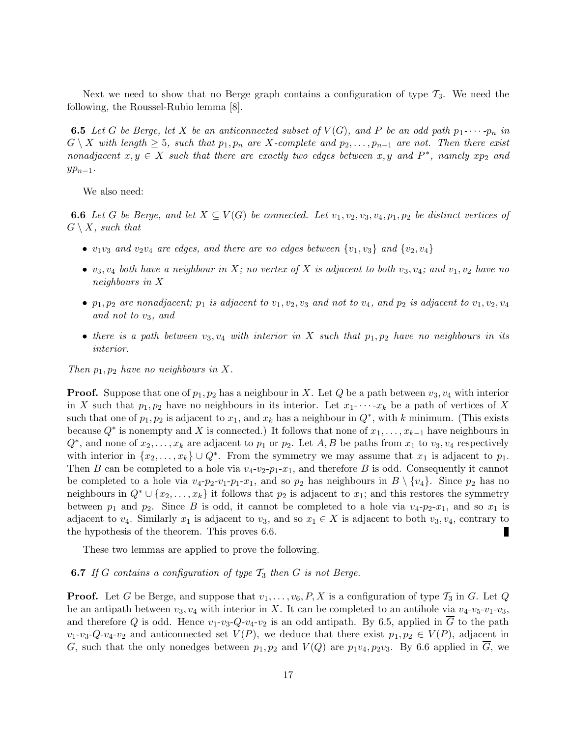Next we need to show that no Berge graph contains a configuration of type  $\mathcal{T}_3$ . We need the following, the Roussel-Rubio lemma [8].

**6.5** Let G be Berge, let X be an anticonnected subset of  $V(G)$ , and P be an odd path  $p_1$ - $\cdots$ - $p_n$  in  $G \setminus X$  with length  $\geq 5$ , such that  $p_1, p_n$  are X-complete and  $p_2, \ldots, p_{n-1}$  are not. Then there exist nonadjacent  $x, y \in X$  such that there are exactly two edges between  $x, y$  and  $P^*$ , namely  $xp_2$  and  $yp_{n-1}$ .

We also need:

**6.6** Let G be Berge, and let  $X \subseteq V(G)$  be connected. Let  $v_1, v_2, v_3, v_4, p_1, p_2$  be distinct vertices of  $G \setminus X$ , such that

- $v_1v_3$  and  $v_2v_4$  are edges, and there are no edges between  $\{v_1, v_3\}$  and  $\{v_2, v_4\}$
- $v_3, v_4$  both have a neighbour in X; no vertex of X is adjacent to both  $v_3, v_4$ ; and  $v_1, v_2$  have no neighbours in X
- $p_1, p_2$  are nonadjacent;  $p_1$  is adjacent to  $v_1, v_2, v_3$  and not to  $v_4$ , and  $p_2$  is adjacent to  $v_1, v_2, v_4$ and not to v3, and
- there is a path between  $v_3, v_4$  with interior in X such that  $p_1, p_2$  have no neighbours in its interior.

Then  $p_1, p_2$  have no neighbours in X.

**Proof.** Suppose that one of  $p_1, p_2$  has a neighbour in X. Let Q be a path between  $v_3, v_4$  with interior in X such that  $p_1, p_2$  have no neighbours in its interior. Let  $x_1$ - $\cdots$ - $x_k$  be a path of vertices of X such that one of  $p_1, p_2$  is adjacent to  $x_1$ , and  $x_k$  has a neighbour in  $Q^*$ , with k minimum. (This exists because  $Q^*$  is nonempty and X is connected.) It follows that none of  $x_1, \ldots, x_{k-1}$  have neighbours in  $Q^*$ , and none of  $x_2, \ldots, x_k$  are adjacent to  $p_1$  or  $p_2$ . Let  $A, B$  be paths from  $x_1$  to  $v_3, v_4$  respectively with interior in  $\{x_2, \ldots, x_k\} \cup Q^*$ . From the symmetry we may assume that  $x_1$  is adjacent to  $p_1$ . Then B can be completed to a hole via  $v_4-v_2-p_1-x_1$ , and therefore B is odd. Consequently it cannot be completed to a hole via  $v_4-p_2-v_1-p_1-x_1$ , and so  $p_2$  has neighbours in  $B \setminus \{v_4\}$ . Since  $p_2$  has no neighbours in  $Q^* \cup \{x_2, \ldots, x_k\}$  it follows that  $p_2$  is adjacent to  $x_1$ ; and this restores the symmetry between  $p_1$  and  $p_2$ . Since B is odd, it cannot be completed to a hole via  $v_4-p_2-x_1$ , and so  $x_1$  is adjacent to  $v_4$ . Similarly  $x_1$  is adjacent to  $v_3$ , and so  $x_1 \in X$  is adjacent to both  $v_3, v_4$ , contrary to the hypothesis of the theorem. This proves 6.6.

These two lemmas are applied to prove the following.

#### **6.7** If G contains a configuration of type  $\mathcal{T}_3$  then G is not Berge.

**Proof.** Let G be Berge, and suppose that  $v_1, \ldots, v_6, P, X$  is a configuration of type  $\mathcal{T}_3$  in G. Let Q be an antipath between  $v_3, v_4$  with interior in X. It can be completed to an antihole via  $v_4$ - $v_5$ - $v_1$ - $v_3$ , and therefore Q is odd. Hence  $v_1-v_3-Q-v_4-v_2$  is an odd antipath. By 6.5, applied in G to the path  $v_1-v_3-Q-v_4-v_2$  and anticonnected set  $V(P)$ , we deduce that there exist  $p_1, p_2 \in V(P)$ , adjacent in G, such that the only nonedges between  $p_1, p_2$  and  $V(Q)$  are  $p_1v_4, p_2v_3$ . By 6.6 applied in  $\overline{G}$ , we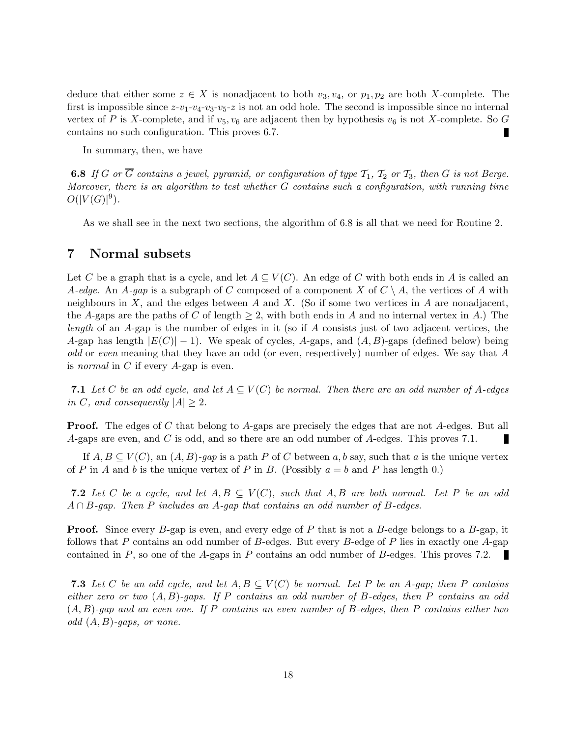deduce that either some  $z \in X$  is nonadjacent to both  $v_3, v_4$ , or  $p_1, p_2$  are both X-complete. The first is impossible since  $z-v_1-v_4-v_3-v_5-z$  is not an odd hole. The second is impossible since no internal vertex of P is X-complete, and if  $v_5$ ,  $v_6$  are adjacent then by hypothesis  $v_6$  is not X-complete. So G contains no such configuration. This proves 6.7.

In summary, then, we have

**6.8** If G or  $\overline{G}$  contains a jewel, pyramid, or configuration of type  $\mathcal{T}_1$ ,  $\mathcal{T}_2$  or  $\mathcal{T}_3$ , then G is not Berge. Moreover, there is an algorithm to test whether G contains such a configuration, with running time  $O(|V(G)|^9)$ .

As we shall see in the next two sections, the algorithm of 6.8 is all that we need for Routine 2.

### 7 Normal subsets

Let C be a graph that is a cycle, and let  $A \subseteq V(C)$ . An edge of C with both ends in A is called an A-edge. An A-gap is a subgraph of C composed of a component X of  $C \setminus A$ , the vertices of A with neighbours in X, and the edges between A and X. (So if some two vertices in A are nonadjacent, the A-gaps are the paths of C of length  $\geq 2$ , with both ends in A and no internal vertex in A.) The length of an A-gap is the number of edges in it (so if A consists just of two adjacent vertices, the A-gap has length  $|E(C)| - 1$ ). We speak of cycles, A-gaps, and  $(A, B)$ -gaps (defined below) being odd or even meaning that they have an odd (or even, respectively) number of edges. We say that A is normal in C if every A-gap is even.

7.1 Let C be an odd cycle, and let  $A \subseteq V(C)$  be normal. Then there are an odd number of A-edges in C, and consequently  $|A| > 2$ .

**Proof.** The edges of C that belong to A-gaps are precisely the edges that are not A-edges. But all A-gaps are even, and C is odd, and so there are an odd number of A-edges. This proves 7.1.

If  $A, B \subseteq V(C)$ , an  $(A, B)$ -gap is a path P of C between a, b say, such that a is the unique vertex of P in A and b is the unique vertex of P in B. (Possibly  $a = b$  and P has length 0.)

**7.2** Let C be a cycle, and let  $A, B \subseteq V(C)$ , such that  $A, B$  are both normal. Let P be an odd  $A \cap B$ -gap. Then P includes an A-gap that contains an odd number of B-edges.

**Proof.** Since every B-gap is even, and every edge of P that is not a B-edge belongs to a B-gap, it follows that P contains an odd number of B-edges. But every B-edge of P lies in exactly one A-gap contained in P, so one of the A-gaps in P contains an odd number of B-edges. This proves 7.2.

**7.3** Let C be an odd cycle, and let  $A, B \subseteq V(C)$  be normal. Let P be an A-qap; then P contains either zero or two  $(A, B)$ -gaps. If P contains an odd number of B-edges, then P contains an odd  $(A, B)$ -gap and an even one. If P contains an even number of B-edges, then P contains either two odd  $(A, B)$ -gaps, or none.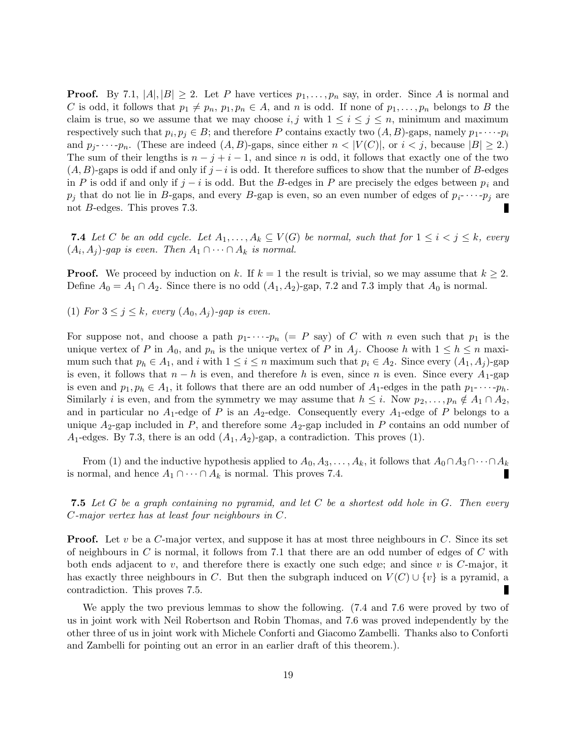**Proof.** By 7.1,  $|A|, |B| \ge 2$ . Let P have vertices  $p_1, \ldots, p_n$  say, in order. Since A is normal and C is odd, it follows that  $p_1 \neq p_n$ ,  $p_1, p_n \in A$ , and n is odd. If none of  $p_1, \ldots, p_n$  belongs to B the claim is true, so we assume that we may choose i, j with  $1 \leq i \leq j \leq n$ , minimum and maximum respectively such that  $p_i, p_j \in B$ ; and therefore P contains exactly two  $(A, B)$ -gaps, namely  $p_1$ - $\cdots$ - $p_i$ and  $p_i$ - $\cdots$ - $p_n$ . (These are indeed  $(A, B)$ -gaps, since either  $n < |V(C)|$ , or  $i < j$ , because  $|B| \ge 2$ .) The sum of their lengths is  $n - j + i - 1$ , and since n is odd, it follows that exactly one of the two  $(A, B)$ -gaps is odd if and only if j – i is odd. It therefore suffices to show that the number of B-edges in P is odd if and only if  $j - i$  is odd. But the B-edges in P are precisely the edges between  $p_i$  and  $p_j$  that do not lie in B-gaps, and every B-gap is even, so an even number of edges of  $p_i$ - $\cdots$ - $p_j$  are not B-edges. This proves 7.3. П

**7.4** Let C be an odd cycle. Let  $A_1, \ldots, A_k \subseteq V(G)$  be normal, such that for  $1 \leq i < j \leq k$ , every  $(A_i, A_j)$ -gap is even. Then  $A_1 \cap \cdots \cap A_k$  is normal.

**Proof.** We proceed by induction on k. If  $k = 1$  the result is trivial, so we may assume that  $k \geq 2$ . Define  $A_0 = A_1 \cap A_2$ . Since there is no odd  $(A_1, A_2)$ -gap, 7.2 and 7.3 imply that  $A_0$  is normal.

(1) For  $3 \leq j \leq k$ , every  $(A_0, A_j)$ -gap is even.

For suppose not, and choose a path  $p_1$ - $\cdots$ - $p_n$  (= P say) of C with n even such that  $p_1$  is the unique vertex of P in  $A_0$ , and  $p_n$  is the unique vertex of P in  $A_j$ . Choose h with  $1 \leq h \leq n$  maximum such that  $p_h \in A_1$ , and i with  $1 \leq i \leq n$  maximum such that  $p_i \in A_2$ . Since every  $(A_1, A_j)$ -gap is even, it follows that  $n - h$  is even, and therefore h is even, since n is even. Since every  $A_1$ -gap is even and  $p_1, p_h \in A_1$ , it follows that there are an odd number of  $A_1$ -edges in the path  $p_1$ - $\cdots$ - $p_h$ . Similarly i is even, and from the symmetry we may assume that  $h \leq i$ . Now  $p_2, \ldots, p_n \notin A_1 \cap A_2$ , and in particular no  $A_1$ -edge of P is an  $A_2$ -edge. Consequently every  $A_1$ -edge of P belongs to a unique  $A_2$ -gap included in P, and therefore some  $A_2$ -gap included in P contains an odd number of  $A_1$ -edges. By 7.3, there is an odd  $(A_1, A_2)$ -gap, a contradiction. This proves (1).

From (1) and the inductive hypothesis applied to  $A_0, A_3, \ldots, A_k$ , it follows that  $A_0 \cap A_3 \cap \cdots \cap A_k$ is normal, and hence  $A_1 \cap \cdots \cap A_k$  is normal. This proves 7.4.

**7.5** Let G be a graph containing no pyramid, and let C be a shortest odd hole in G. Then every C-major vertex has at least four neighbours in C.

**Proof.** Let v be a C-major vertex, and suppose it has at most three neighbours in  $C$ . Since its set of neighbours in C is normal, it follows from 7.1 that there are an odd number of edges of C with both ends adjacent to v, and therefore there is exactly one such edge; and since v is  $C$ -major, it has exactly three neighbours in C. But then the subgraph induced on  $V(C) \cup \{v\}$  is a pyramid, a contradiction. This proves 7.5.

We apply the two previous lemmas to show the following. (7.4 and 7.6 were proved by two of us in joint work with Neil Robertson and Robin Thomas, and 7.6 was proved independently by the other three of us in joint work with Michele Conforti and Giacomo Zambelli. Thanks also to Conforti and Zambelli for pointing out an error in an earlier draft of this theorem.).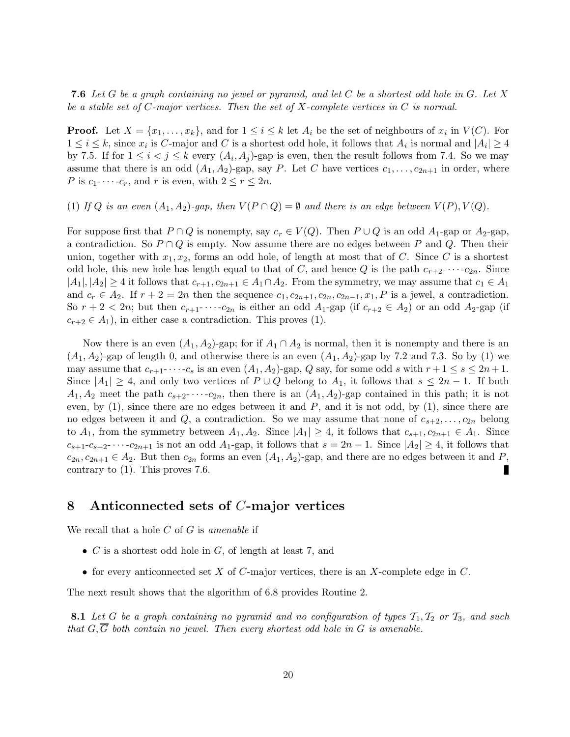**7.6** Let G be a graph containing no jewel or pyramid, and let C be a shortest odd hole in G. Let X be a stable set of C-major vertices. Then the set of X-complete vertices in  $C$  is normal.

**Proof.** Let  $X = \{x_1, \ldots, x_k\}$ , and for  $1 \leq i \leq k$  let  $A_i$  be the set of neighbours of  $x_i$  in  $V(C)$ . For  $1 \leq i \leq k$ , since  $x_i$  is C-major and C is a shortest odd hole, it follows that  $A_i$  is normal and  $|A_i| \geq 4$ by 7.5. If for  $1 \leq i < j \leq k$  every  $(A_i, A_j)$ -gap is even, then the result follows from 7.4. So we may assume that there is an odd  $(A_1, A_2)$ -gap, say P. Let C have vertices  $c_1, \ldots, c_{2n+1}$  in order, where P is  $c_1$ - $\cdots$ - $c_r$ , and r is even, with  $2 \le r \le 2n$ .

(1) If Q is an even  $(A_1, A_2)$ -gap, then  $V(P \cap Q) = \emptyset$  and there is an edge between  $V(P)$ ,  $V(Q)$ .

For suppose first that  $P \cap Q$  is nonempty, say  $c_r \in V(Q)$ . Then  $P \cup Q$  is an odd  $A_1$ -gap or  $A_2$ -gap, a contradiction. So  $P \cap Q$  is empty. Now assume there are no edges between P and Q. Then their union, together with  $x_1, x_2$ , forms an odd hole, of length at most that of C. Since C is a shortest odd hole, this new hole has length equal to that of C, and hence Q is the path  $c_{r+2}$ - $\cdots$ - $c_{2n}$ . Since  $|A_1|, |A_2| \geq 4$  it follows that  $c_{r+1}, c_{2n+1} \in A_1 \cap A_2$ . From the symmetry, we may assume that  $c_1 \in A_1$ and  $c_r \in A_2$ . If  $r + 2 = 2n$  then the sequence  $c_1, c_{2n+1}, c_{2n}, c_{2n-1}, x_1, P$  is a jewel, a contradiction. So  $r + 2 < 2n$ ; but then  $c_{r+1}$ - $\cdots$ - $c_{2n}$  is either an odd  $A_1$ -gap (if  $c_{r+2} \in A_2$ ) or an odd  $A_2$ -gap (if  $c_{r+2} \in A_1$ , in either case a contradiction. This proves (1).

Now there is an even  $(A_1, A_2)$ -gap; for if  $A_1 \cap A_2$  is normal, then it is nonempty and there is an  $(A_1, A_2)$ -gap of length 0, and otherwise there is an even  $(A_1, A_2)$ -gap by 7.2 and 7.3. So by (1) we may assume that  $c_{r+1}$   $\cdots$   $-c_s$  is an even  $(A_1, A_2)$ -gap, Q say, for some odd s with  $r+1 \leq s \leq 2n+1$ . Since  $|A_1| \geq 4$ , and only two vertices of  $P \cup Q$  belong to  $A_1$ , it follows that  $s \leq 2n - 1$ . If both  $A_1, A_2$  meet the path  $c_{s+2}$ - $\cdots$ - $c_{2n}$ , then there is an  $(A_1, A_2)$ -gap contained in this path; it is not even, by  $(1)$ , since there are no edges between it and P, and it is not odd, by  $(1)$ , since there are no edges between it and Q, a contradiction. So we may assume that none of  $c_{s+2}, \ldots, c_{2n}$  belong to  $A_1$ , from the symmetry between  $A_1, A_2$ . Since  $|A_1| \geq 4$ , it follows that  $c_{s+1}, c_{2n+1} \in A_1$ . Since  $c_{s+1}-c_{s+2}-\cdots-c_{2n+1}$  is not an odd  $A_1$ -gap, it follows that  $s=2n-1$ . Since  $|A_2|\geq 4$ , it follows that  $c_{2n}, c_{2n+1} \in A_2$ . But then  $c_{2n}$  forms an even  $(A_1, A_2)$ -gap, and there are no edges between it and P, contrary to (1). This proves 7.6. П

### 8 Anticonnected sets of C-major vertices

We recall that a hole  $C$  of  $G$  is amenable if

- $C$  is a shortest odd hole in  $G$ , of length at least 7, and
- for every anticonnected set X of C-major vertices, there is an X-complete edge in  $C$ .

The next result shows that the algorithm of 6.8 provides Routine 2.

8.1 Let G be a graph containing no pyramid and no configuration of types  $\mathcal{T}_1, \mathcal{T}_2$  or  $\mathcal{T}_3$ , and such that  $G, \overline{G}$  both contain no jewel. Then every shortest odd hole in G is amenable.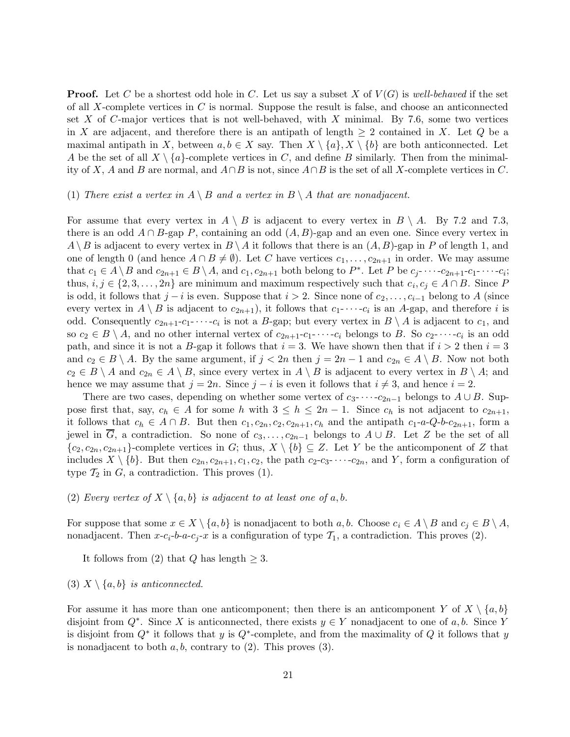**Proof.** Let C be a shortest odd hole in C. Let us say a subset X of  $V(G)$  is well-behaved if the set of all X-complete vertices in  $C$  is normal. Suppose the result is false, and choose an anticonnected set X of C-major vertices that is not well-behaved, with X minimal. By 7.6, some two vertices in X are adjacent, and therefore there is an antipath of length  $\geq 2$  contained in X. Let Q be a maximal antipath in X, between  $a, b \in X$  say. Then  $X \setminus \{a\}, X \setminus \{b\}$  are both anticonnected. Let A be the set of all  $X \setminus \{a\}$ -complete vertices in C, and define B similarly. Then from the minimality of X, A and B are normal, and  $A \cap B$  is not, since  $A \cap B$  is the set of all X-complete vertices in C.

#### (1) There exist a vertex in  $A \setminus B$  and a vertex in  $B \setminus A$  that are nonadjacent.

For assume that every vertex in  $A \setminus B$  is adjacent to every vertex in  $B \setminus A$ . By 7.2 and 7.3, there is an odd  $A \cap B$ -gap P, containing an odd  $(A, B)$ -gap and an even one. Since every vertex in  $A \setminus B$  is adjacent to every vertex in  $B \setminus A$  it follows that there is an  $(A, B)$ -gap in P of length 1, and one of length 0 (and hence  $A \cap B \neq \emptyset$ ). Let C have vertices  $c_1, \ldots, c_{2n+1}$  in order. We may assume that  $c_1 \in A \setminus B$  and  $c_{2n+1} \in B \setminus A$ , and  $c_1, c_{2n+1}$  both belong to  $P^*$ . Let P be  $c_j$ - $\cdots$ - $c_{2n+1}$ - $c_1$ - $\cdots$ - $c_i$ ; thus,  $i, j \in \{2, 3, ..., 2n\}$  are minimum and maximum respectively such that  $c_i, c_j \in A \cap B$ . Since P is odd, it follows that  $j - i$  is even. Suppose that  $i > 2$ . Since none of  $c_2, \ldots, c_{i-1}$  belong to A (since every vertex in  $A \setminus B$  is adjacent to  $c_{2n+1}$ , it follows that  $c_1$ - $\cdots$ - $c_i$  is an A-gap, and therefore i is odd. Consequently  $c_{2n+1}-c_1-\cdots-c_i$  is not a B-gap; but every vertex in  $B\setminus A$  is adjacent to  $c_1$ , and so  $c_2 \in B \setminus A$ , and no other internal vertex of  $c_{2n+1}$ - $c_1$ - $\cdots$ - $c_i$  belongs to B. So  $c_2$ - $\cdots$ - $c_i$  is an odd path, and since it is not a B-gap it follows that  $i = 3$ . We have shown then that if  $i > 2$  then  $i = 3$ and  $c_2 \in B \setminus A$ . By the same argument, if  $j < 2n$  then  $j = 2n - 1$  and  $c_{2n} \in A \setminus B$ . Now not both  $c_2 \in B \setminus A$  and  $c_{2n} \in A \setminus B$ , since every vertex in  $A \setminus B$  is adjacent to every vertex in  $B \setminus A$ ; and hence we may assume that  $j = 2n$ . Since  $j - i$  is even it follows that  $i \neq 3$ , and hence  $i = 2$ .

There are two cases, depending on whether some vertex of  $c_3$ - · · · - $c_{2n-1}$  belongs to  $A \cup B$ . Suppose first that, say,  $c_h \in A$  for some h with  $3 \leq h \leq 2n-1$ . Since  $c_h$  is not adjacent to  $c_{2n+1}$ , it follows that  $c_h \in A \cap B$ . But then  $c_1, c_{2n}, c_2, c_{2n+1}, c_h$  and the antipath  $c_1$ -a-Q-b- $c_{2n+1}$ , form a jewel in  $\overline{G}$ , a contradiction. So none of  $c_3, \ldots, c_{2n-1}$  belongs to  $A \cup B$ . Let Z be the set of all  ${c_2, c_{2n}, c_{2n+1}}$ -complete vertices in G; thus,  $X \setminus \{b\} \subseteq Z$ . Let Y be the anticomponent of Z that includes  $X \setminus \{b\}$ . But then  $c_{2n}, c_{2n+1}, c_1, c_2$ , the path  $c_2-c_3-\cdots-c_{2n}$ , and Y, form a configuration of type  $\mathcal{T}_2$  in  $G$ , a contradiction. This proves (1).

#### (2) Every vertex of  $X \setminus \{a, b\}$  is adjacent to at least one of a, b.

For suppose that some  $x \in X \setminus \{a, b\}$  is nonadjacent to both  $a, b$ . Choose  $c_i \in A \setminus B$  and  $c_j \in B \setminus A$ , nonadjacent. Then  $x-c_i-b-a-c_j-x$  is a configuration of type  $\mathcal{T}_1$ , a contradiction. This proves (2).

It follows from (2) that Q has length  $> 3$ .

#### (3)  $X \setminus \{a, b\}$  is anticonnected.

For assume it has more than one anticomponent; then there is an anticomponent Y of  $X \setminus \{a, b\}$ disjoint from  $Q^*$ . Since X is anticonnected, there exists  $y \in Y$  nonadjacent to one of a, b. Since Y is disjoint from  $Q^*$  it follows that y is  $Q^*$ -complete, and from the maximality of Q it follows that y is nonadjacent to both  $a, b$ , contrary to  $(2)$ . This proves  $(3)$ .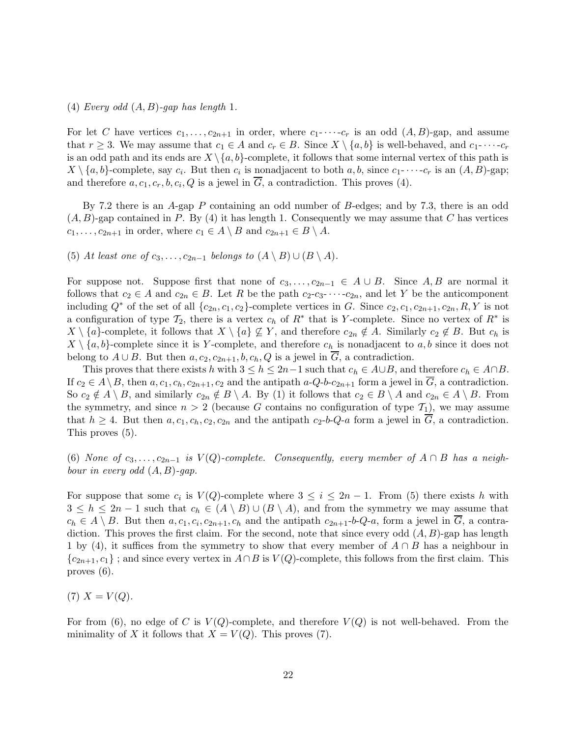#### (4) Every odd  $(A, B)$ -gap has length 1.

For let C have vertices  $c_1, \ldots, c_{2n+1}$  in order, where  $c_1$ - $\cdots$ - $c_r$  is an odd  $(A, B)$ -gap, and assume that  $r \geq 3$ . We may assume that  $c_1 \in A$  and  $c_r \in B$ . Since  $X \setminus \{a, b\}$  is well-behaved, and  $c_1 \cdots c_r$ is an odd path and its ends are  $X \setminus \{a, b\}$ -complete, it follows that some internal vertex of this path is  $X \setminus \{a, b\}$ -complete, say  $c_i$ . But then  $c_i$  is nonadjacent to both  $a, b$ , since  $c_1$ - $\cdots$ - $c_r$  is an  $(A, B)$ -gap; and therefore  $a, c_1, c_r, b, c_i, Q$  is a jewel in  $G$ , a contradiction. This proves (4).

By 7.2 there is an A-gap P containing an odd number of B-edges; and by 7.3, there is an odd  $(A, B)$ -gap contained in P. By (4) it has length 1. Consequently we may assume that C has vertices  $c_1, \ldots, c_{2n+1}$  in order, where  $c_1 \in A \setminus B$  and  $c_{2n+1} \in B \setminus A$ .

(5) At least one of  $c_3, \ldots, c_{2n-1}$  belongs to  $(A \setminus B) \cup (B \setminus A)$ .

For suppose not. Suppose first that none of  $c_3, \ldots, c_{2n-1} \in A \cup B$ . Since A, B are normal it follows that  $c_2 \in A$  and  $c_{2n} \in B$ . Let R be the path  $c_2-c_3-\cdots-c_{2n}$ , and let Y be the anticomponent including  $Q^*$  of the set of all  $\{c_{2n}, c_1, c_2\}$ -complete vertices in G. Since  $c_2, c_1, c_{2n+1}, c_{2n}, R, Y$  is not a configuration of type  $\mathcal{T}_2$ , there is a vertex  $c_h$  of  $R^*$  that is Y-complete. Since no vertex of  $R^*$  is  $X \setminus \{a\}$ -complete, it follows that  $X \setminus \{a\} \not\subseteq Y$ , and therefore  $c_{2n} \notin A$ . Similarly  $c_2 \notin B$ . But  $c_h$  is  $X \setminus \{a, b\}$ -complete since it is Y-complete, and therefore  $c_h$  is nonadjacent to  $a, b$  since it does not belong to  $A \cup B$ . But then  $a, c_2, c_{2n+1}, b, c_h, Q$  is a jewel in G, a contradiction.

This proves that there exists h with  $3 \leq h \leq 2n-1$  such that  $c_h \in A \cup B$ , and therefore  $c_h \in A \cap B$ . If  $c_2 \in A \setminus B$ , then  $a, c_1, c_h, c_{2n+1}, c_2$  and the antipath  $a-Q-b-c_{2n+1}$  form a jewel in  $\overline{G}$ , a contradiction. So  $c_2 \notin A \setminus B$ , and similarly  $c_{2n} \notin B \setminus A$ . By (1) it follows that  $c_2 \in B \setminus A$  and  $c_{2n} \in A \setminus B$ . From the symmetry, and since  $n > 2$  (because G contains no configuration of type  $\mathcal{T}_1$ ), we may assume that  $h \geq 4$ . But then  $a, c_1, c_h, c_2, c_{2n}$  and the antipath  $c_2-b-Q-a$  form a jewel in  $\overline{G}$ , a contradiction. This proves (5).

(6) None of  $c_3, \ldots, c_{2n-1}$  is  $V(Q)$ -complete. Consequently, every member of  $A \cap B$  has a neighbour in every odd  $(A, B)$ -gap.

For suppose that some  $c_i$  is  $V(Q)$ -complete where  $3 \leq i \leq 2n-1$ . From (5) there exists h with  $3 \leq h \leq 2n-1$  such that  $c_h \in (A \setminus B) \cup (B \setminus A)$ , and from the symmetry we may assume that  $c_h \in A \setminus B$ . But then  $a, c_1, c_i, c_{2n+1}, c_h$  and the antipath  $c_{2n+1}$ -b-Q-a, form a jewel in G, a contradiction. This proves the first claim. For the second, note that since every odd  $(A, B)$ -gap has length 1 by (4), it suffices from the symmetry to show that every member of  $A \cap B$  has a neighbour in  ${c_{2n+1}, c_1}$ ; and since every vertex in  $A \cap B$  is  $V(Q)$ -complete, this follows from the first claim. This proves (6).

(7)  $X = V(Q)$ .

For from (6), no edge of C is  $V(Q)$ -complete, and therefore  $V(Q)$  is not well-behaved. From the minimality of X it follows that  $X = V(Q)$ . This proves (7).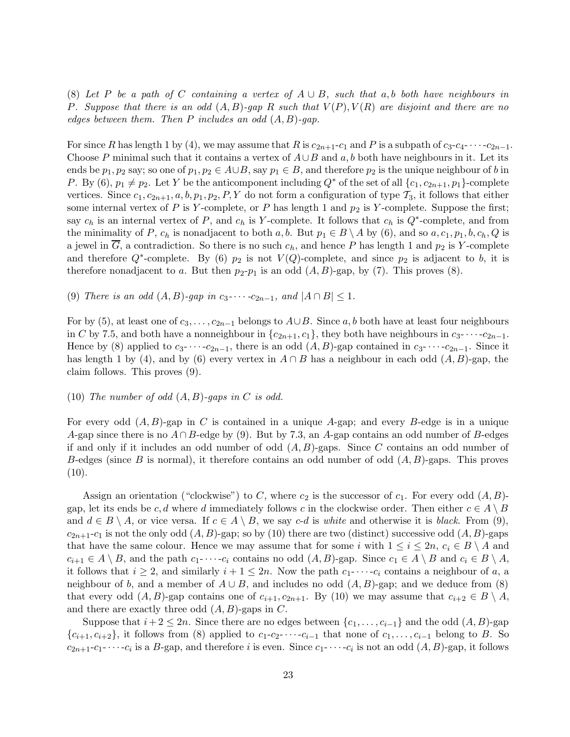(8) Let P be a path of C containing a vertex of  $A \cup B$ , such that a, b both have neighbours in P. Suppose that there is an odd  $(A, B)$ -gap R such that  $V(P), V(R)$  are disjoint and there are no edges between them. Then P includes an odd  $(A, B)$ -gap.

For since R has length 1 by (4), we may assume that R is  $c_{2n+1}-c_1$  and P is a subpath of  $c_3-c_4$ - · · · - $c_{2n-1}$ . Choose P minimal such that it contains a vertex of  $A\cup B$  and a, b both have neighbours in it. Let its ends be  $p_1, p_2$  say; so one of  $p_1, p_2 \in A \cup B$ , say  $p_1 \in B$ , and therefore  $p_2$  is the unique neighbour of b in P. By (6),  $p_1 \neq p_2$ . Let Y be the anticomponent including  $Q^*$  of the set of all  $\{c_1, c_{2n+1}, p_1\}$ -complete vertices. Since  $c_1, c_{2n+1}, a, b, p_1, p_2, P, Y$  do not form a configuration of type  $\mathcal{T}_3$ , it follows that either some internal vertex of P is Y-complete, or P has length 1 and  $p_2$  is Y-complete. Suppose the first; say  $c_h$  is an internal vertex of P, and  $c_h$  is Y-complete. It follows that  $c_h$  is  $Q^*$ -complete, and from the minimality of P,  $c_h$  is nonadjacent to both a, b. But  $p_1 \in B \setminus A$  by (6), and so  $a, c_1, p_1, b, c_h, Q$  is a jewel in G, a contradiction. So there is no such  $c_h$ , and hence P has length 1 and  $p_2$  is Y-complete and therefore  $Q^*$ -complete. By (6)  $p_2$  is not  $V(Q)$ -complete, and since  $p_2$  is adjacent to b, it is therefore nonadjacent to a. But then  $p_2-p_1$  is an odd  $(A, B)$ -gap, by (7). This proves (8).

(9) There is an odd  $(A, B)$ -gap in  $c_3$ - $\cdots$ - $c_{2n-1}$ , and  $|A \cap B| \leq 1$ .

For by (5), at least one of  $c_3, \ldots, c_{2n-1}$  belongs to  $A \cup B$ . Since a, b both have at least four neighbours in C by 7.5, and both have a nonneighbour in  $\{c_{2n+1}, c_1\}$ , they both have neighbours in  $c_3$ - · · ·  $c_{2n-1}$ . Hence by (8) applied to  $c_3$ - · · ·  $c_{2n-1}$ , there is an odd  $(A, B)$ -gap contained in  $c_3$ - · · ·  $c_{2n-1}$ . Since it has length 1 by (4), and by (6) every vertex in  $A \cap B$  has a neighbour in each odd  $(A, B)$ -gap, the claim follows. This proves (9).

#### (10) The number of odd  $(A, B)$ -gaps in C is odd.

For every odd  $(A, B)$ -gap in C is contained in a unique A-gap; and every B-edge is in a unique A-gap since there is no  $A \cap B$ -edge by (9). But by 7.3, an A-gap contains an odd number of B-edges if and only if it includes an odd number of odd  $(A, B)$ -gaps. Since C contains an odd number of B-edges (since B is normal), it therefore contains an odd number of odd  $(A, B)$ -gaps. This proves  $(10).$ 

Assign an orientation ("clockwise") to C, where  $c_2$  is the successor of  $c_1$ . For every odd  $(A, B)$ gap, let its ends be c, d where d immediately follows c in the clockwise order. Then either  $c \in A \setminus B$ and  $d \in B \setminus A$ , or vice versa. If  $c \in A \setminus B$ , we say c-d is white and otherwise it is black. From (9),  $c_{2n+1}$ -c<sub>1</sub> is not the only odd  $(A, B)$ -gap; so by (10) there are two (distinct) successive odd  $(A, B)$ -gaps that have the same colour. Hence we may assume that for some i with  $1 \leq i \leq 2n$ ,  $c_i \in B \setminus A$  and  $c_{i+1} \in A \setminus B$ , and the path  $c_1 \cdot \cdot \cdot \cdot c_i$  contains no odd  $(A, B)$ -gap. Since  $c_1 \in A \setminus B$  and  $c_i \in B \setminus A$ , it follows that  $i \geq 2$ , and similarly  $i+1 \leq 2n$ . Now the path  $c_1$ - $\cdots$ - $c_i$  contains a neighbour of a, a neighbour of b, and a member of  $A \cup B$ , and includes no odd  $(A, B)$ -gap; and we deduce from (8) that every odd  $(A, B)$ -gap contains one of  $c_{i+1}, c_{2n+1}$ . By (10) we may assume that  $c_{i+2} \in B \setminus A$ , and there are exactly three odd  $(A, B)$ -gaps in C.

Suppose that  $i+2 \leq 2n$ . Since there are no edges between  $\{c_1, \ldots, c_{i-1}\}\$  and the odd  $(A, B)$ -gap  ${c_{i+1}, c_{i+2}}$ , it follows from (8) applied to  $c_1-c_2-\cdots-c_{i-1}$  that none of  $c_1, \ldots, c_{i-1}$  belong to B. So  $c_{2n+1}$ - $c_1$ - $\cdots$ - $c_i$  is a B-gap, and therefore i is even. Since  $c_1$ - $\cdots$ - $c_i$  is not an odd  $(A, B)$ -gap, it follows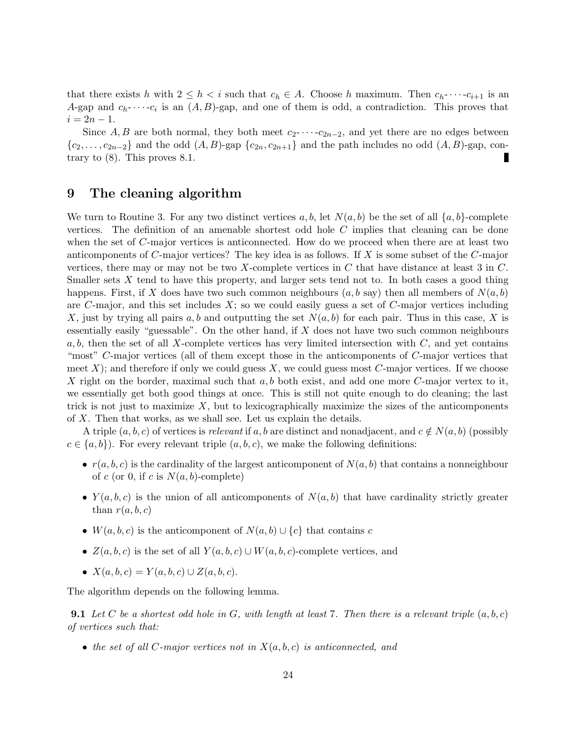that there exists h with  $2 \leq h < i$  such that  $c_h \in A$ . Choose h maximum. Then  $c_h$ - $\cdots$ - $c_{i+1}$  is an A-gap and  $c_h$ - $\cdots$ - $c_i$  is an  $(A, B)$ -gap, and one of them is odd, a contradiction. This proves that  $i = 2n - 1.$ 

Since A, B are both normal, they both meet  $c_2$ - · · ·  $-c_{2n-2}$ , and yet there are no edges between  ${c_2,\ldots,c_{2n-2}}$  and the odd  $(A, B)$ -gap  ${c_{2n},c_{2n+1}}$  and the path includes no odd  $(A, B)$ -gap, contrary to (8). This proves 8.1. П

### 9 The cleaning algorithm

We turn to Routine 3. For any two distinct vertices a, b, let  $N(a, b)$  be the set of all  $\{a, b\}$ -complete vertices. The definition of an amenable shortest odd hole C implies that cleaning can be done when the set of C-major vertices is anticonnected. How do we proceed when there are at least two anticomponents of C-major vertices? The key idea is as follows. If X is some subset of the C-major vertices, there may or may not be two X-complete vertices in  $C$  that have distance at least 3 in  $C$ . Smaller sets  $X$  tend to have this property, and larger sets tend not to. In both cases a good thing happens. First, if X does have two such common neighbours  $(a, b$  say) then all members of  $N(a, b)$ are C-major, and this set includes  $X$ ; so we could easily guess a set of C-major vertices including X, just by trying all pairs a, b and outputting the set  $N(a, b)$  for each pair. Thus in this case, X is essentially easily "guessable". On the other hand, if  $X$  does not have two such common neighbours a, b, then the set of all X-complete vertices has very limited intersection with  $C$ , and yet contains "most" C-major vertices (all of them except those in the anticomponents of C-major vertices that meet  $X$ ); and therefore if only we could guess  $X$ , we could guess most  $C$ -major vertices. If we choose X right on the border, maximal such that  $a, b$  both exist, and add one more C-major vertex to it, we essentially get both good things at once. This is still not quite enough to do cleaning; the last trick is not just to maximize  $X$ , but to lexicographically maximize the sizes of the anticomponents of X. Then that works, as we shall see. Let us explain the details.

A triple  $(a, b, c)$  of vertices is relevant if a, b are distinct and nonadjacent, and  $c \notin N(a, b)$  (possibly  $c \in \{a, b\}$ . For every relevant triple  $(a, b, c)$ , we make the following definitions:

- $r(a, b, c)$  is the cardinality of the largest anticomponent of  $N(a, b)$  that contains a nonneighbour of c (or 0, if c is  $N(a, b)$ -complete)
- $Y(a, b, c)$  is the union of all anticomponents of  $N(a, b)$  that have cardinality strictly greater than  $r(a, b, c)$
- $W(a, b, c)$  is the anticomponent of  $N(a, b) \cup \{c\}$  that contains c
- $Z(a, b, c)$  is the set of all  $Y(a, b, c) \cup W(a, b, c)$ -complete vertices, and
- $X(a, b, c) = Y(a, b, c) \cup Z(a, b, c).$

The algorithm depends on the following lemma.

**9.1** Let C be a shortest odd hole in G, with length at least 7. Then there is a relevant triple  $(a, b, c)$ of vertices such that:

• the set of all C-major vertices not in  $X(a, b, c)$  is anticonnected, and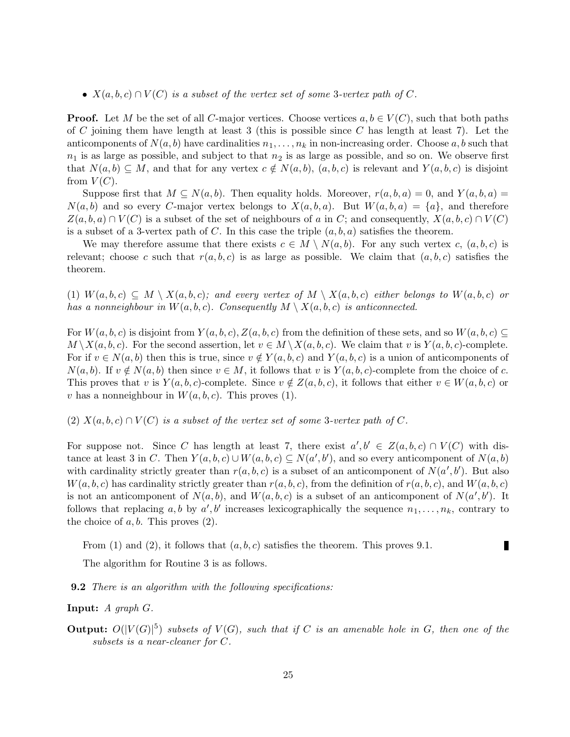•  $X(a, b, c) \cap V(C)$  is a subset of the vertex set of some 3-vertex path of C.

**Proof.** Let M be the set of all C-major vertices. Choose vertices  $a, b \in V(C)$ , such that both paths of C joining them have length at least 3 (this is possible since C has length at least 7). Let the anticomponents of  $N(a, b)$  have cardinalities  $n_1, \ldots, n_k$  in non-increasing order. Choose a, b such that  $n_1$  is as large as possible, and subject to that  $n_2$  is as large as possible, and so on. We observe first that  $N(a, b) \subseteq M$ , and that for any vertex  $c \notin N(a, b)$ ,  $(a, b, c)$  is relevant and  $Y(a, b, c)$  is disjoint from  $V(C)$ .

Suppose first that  $M \subseteq N(a, b)$ . Then equality holds. Moreover,  $r(a, b, a) = 0$ , and  $Y(a, b, a) = 0$  $N(a, b)$  and so every C-major vertex belongs to  $X(a, b, a)$ . But  $W(a, b, a) = \{a\}$ , and therefore  $Z(a, b, a) \cap V(C)$  is a subset of the set of neighbours of a in C; and consequently,  $X(a, b, c) \cap V(C)$ is a subset of a 3-vertex path of C. In this case the triple  $(a, b, a)$  satisfies the theorem.

We may therefore assume that there exists  $c \in M \setminus N(a, b)$ . For any such vertex c,  $(a, b, c)$  is relevant; choose c such that  $r(a, b, c)$  is as large as possible. We claim that  $(a, b, c)$  satisfies the theorem.

(1)  $W(a, b, c) \subseteq M \setminus X(a, b, c)$ ; and every vertex of  $M \setminus X(a, b, c)$  either belongs to  $W(a, b, c)$  or has a nonneighbour in  $W(a, b, c)$ . Consequently  $M \setminus X(a, b, c)$  is anticonnected.

For  $W(a, b, c)$  is disjoint from  $Y(a, b, c)$ ,  $Z(a, b, c)$  from the definition of these sets, and so  $W(a, b, c) \subseteq$  $M \setminus X(a, b, c)$ . For the second assertion, let  $v \in M \setminus X(a, b, c)$ . We claim that v is  $Y(a, b, c)$ -complete. For if  $v \in N(a, b)$  then this is true, since  $v \notin Y(a, b, c)$  and  $Y(a, b, c)$  is a union of anticomponents of  $N(a, b)$ . If  $v \notin N(a, b)$  then since  $v \in M$ , it follows that v is  $Y(a, b, c)$ -complete from the choice of c. This proves that v is  $Y(a, b, c)$ -complete. Since  $v \notin Z(a, b, c)$ , it follows that either  $v \in W(a, b, c)$  or v has a nonneighbour in  $W(a, b, c)$ . This proves (1).

(2)  $X(a, b, c) \cap V(C)$  is a subset of the vertex set of some 3-vertex path of C.

For suppose not. Since C has length at least 7, there exist  $a', b' \in Z(a, b, c) \cap V(C)$  with distance at least 3 in C. Then  $Y(a, b, c) \cup W(a, b, c) \subseteq N(a', b')$ , and so every anticomponent of  $N(a, b)$ with cardinality strictly greater than  $r(a, b, c)$  is a subset of an anticomponent of  $N(a', b')$ . But also  $W(a, b, c)$  has cardinality strictly greater than  $r(a, b, c)$ , from the definition of  $r(a, b, c)$ , and  $W(a, b, c)$ is not an anticomponent of  $N(a, b)$ , and  $W(a, b, c)$  is a subset of an anticomponent of  $N(a', b')$ . It follows that replacing a, b by  $a', b'$  increases lexicographically the sequence  $n_1, \ldots, n_k$ , contrary to the choice of  $a, b$ . This proves  $(2)$ .

From (1) and (2), it follows that  $(a, b, c)$  satisfies the theorem. This proves 9.1.

П

The algorithm for Routine 3 is as follows.

**9.2** There is an algorithm with the following specifications:

**Input:**  $A$  graph  $G$ .

**Output:**  $O(|V(G)|^5)$  subsets of  $V(G)$ , such that if C is an amenable hole in G, then one of the subsets is a near-cleaner for C.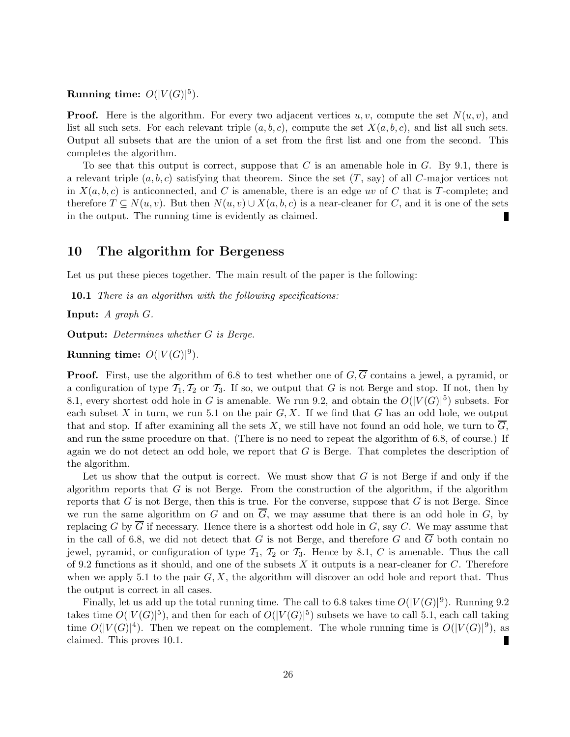### Running time:  $O(|V(G)|^5)$ .

**Proof.** Here is the algorithm. For every two adjacent vertices u, v, compute the set  $N(u, v)$ , and list all such sets. For each relevant triple  $(a, b, c)$ , compute the set  $X(a, b, c)$ , and list all such sets. Output all subsets that are the union of a set from the first list and one from the second. This completes the algorithm.

To see that this output is correct, suppose that  $C$  is an amenable hole in  $G$ . By 9.1, there is a relevant triple  $(a, b, c)$  satisfying that theorem. Since the set  $(T, say)$  of all C-major vertices not in  $X(a, b, c)$  is anticonnected, and C is amenable, there is an edge uv of C that is T-complete; and therefore  $T \subseteq N(u, v)$ . But then  $N(u, v) \cup X(a, b, c)$  is a near-cleaner for C, and it is one of the sets in the output. The running time is evidently as claimed.

### 10 The algorithm for Bergeness

Let us put these pieces together. The main result of the paper is the following:

**10.1** There is an algorithm with the following specifications:

Input: A graph G.

Output: Determines whether G is Berge.

Running time:  $O(|V(G)|^9)$ .

**Proof.** First, use the algorithm of 6.8 to test whether one of  $G, \overline{G}$  contains a jewel, a pyramid, or a configuration of type  $\mathcal{T}_1, \mathcal{T}_2$  or  $\mathcal{T}_3$ . If so, we output that G is not Berge and stop. If not, then by 8.1, every shortest odd hole in G is amenable. We run 9.2, and obtain the  $O(|V(G)|^5)$  subsets. For each subset X in turn, we run 5.1 on the pair  $G, X$ . If we find that G has an odd hole, we output that and stop. If after examining all the sets X, we still have not found an odd hole, we turn to  $\overline{G}$ , and run the same procedure on that. (There is no need to repeat the algorithm of 6.8, of course.) If again we do not detect an odd hole, we report that  $G$  is Berge. That completes the description of the algorithm.

Let us show that the output is correct. We must show that  $G$  is not Berge if and only if the algorithm reports that  $G$  is not Berge. From the construction of the algorithm, if the algorithm reports that  $G$  is not Berge, then this is true. For the converse, suppose that  $G$  is not Berge. Since we run the same algorithm on G and on  $\overline{G}$ , we may assume that there is an odd hole in G, by replacing G by  $\overline{G}$  if necessary. Hence there is a shortest odd hole in G, say C. We may assume that in the call of 6.8, we did not detect that G is not Berge, and therefore G and  $\overline{G}$  both contain no jewel, pyramid, or configuration of type  $\mathcal{T}_1$ ,  $\mathcal{T}_2$  or  $\mathcal{T}_3$ . Hence by 8.1, C is amenable. Thus the call of 9.2 functions as it should, and one of the subsets X it outputs is a near-cleaner for  $C$ . Therefore when we apply 5.1 to the pair  $G, X$ , the algorithm will discover an odd hole and report that. Thus the output is correct in all cases.

Finally, let us add up the total running time. The call to 6.8 takes time  $O(|V(G)|^9)$ . Running 9.2 takes time  $O(|V(G)|^5)$ , and then for each of  $O(|V(G)|^5)$  subsets we have to call 5.1, each call taking time  $O(|V(G)|^4)$ . Then we repeat on the complement. The whole running time is  $O(|V(G)|^9)$ , as claimed. This proves 10.1. ı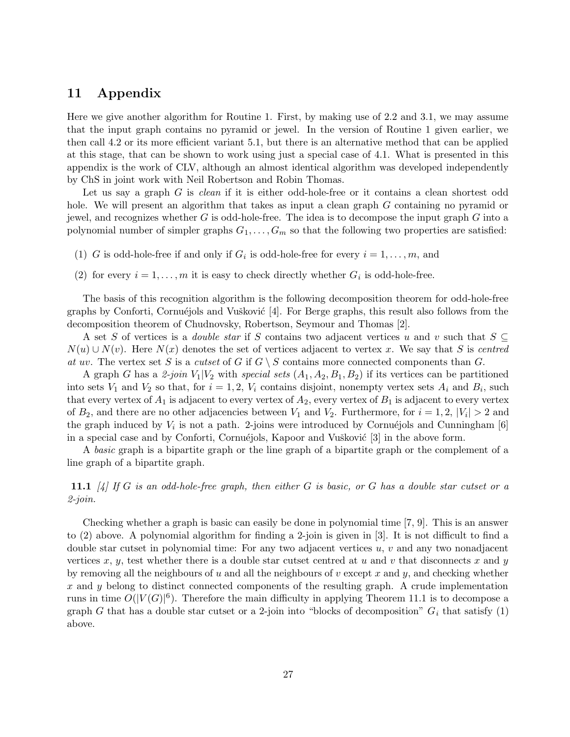### 11 Appendix

Here we give another algorithm for Routine 1. First, by making use of 2.2 and 3.1, we may assume that the input graph contains no pyramid or jewel. In the version of Routine 1 given earlier, we then call 4.2 or its more efficient variant 5.1, but there is an alternative method that can be applied at this stage, that can be shown to work using just a special case of 4.1. What is presented in this appendix is the work of CLV, although an almost identical algorithm was developed independently by ChS in joint work with Neil Robertson and Robin Thomas.

Let us say a graph G is *clean* if it is either odd-hole-free or it contains a clean shortest odd hole. We will present an algorithm that takes as input a clean graph G containing no pyramid or jewel, and recognizes whether G is odd-hole-free. The idea is to decompose the input graph  $G$  into a polynomial number of simpler graphs  $G_1, \ldots, G_m$  so that the following two properties are satisfied:

- (1) G is odd-hole-free if and only if  $G_i$  is odd-hole-free for every  $i = 1, \ldots, m$ , and
- (2) for every  $i = 1, ..., m$  it is easy to check directly whether  $G_i$  is odd-hole-free.

The basis of this recognition algorithm is the following decomposition theorem for odd-hole-free graphs by Conforti, Cornuéjols and Vušković  $[4]$ . For Berge graphs, this result also follows from the decomposition theorem of Chudnovsky, Robertson, Seymour and Thomas [2].

A set S of vertices is a *double star* if S contains two adjacent vertices u and v such that  $S \subseteq$  $N(u) \cup N(v)$ . Here  $N(x)$  denotes the set of vertices adjacent to vertex x. We say that S is centred at uv. The vertex set S is a cutset of G if  $G \setminus S$  contains more connected components than G.

A graph G has a 2-join  $V_1|V_2$  with special sets  $(A_1, A_2, B_1, B_2)$  if its vertices can be partitioned into sets  $V_1$  and  $V_2$  so that, for  $i = 1, 2, V_i$  contains disjoint, nonempty vertex sets  $A_i$  and  $B_i$ , such that every vertex of  $A_1$  is adjacent to every vertex of  $A_2$ , every vertex of  $B_1$  is adjacent to every vertex of  $B_2$ , and there are no other adjacencies between  $V_1$  and  $V_2$ . Furthermore, for  $i = 1, 2, |V_i| > 2$  and the graph induced by  $V_i$  is not a path. 2-joins were introduced by Cornuéjols and Cunningham [6] in a special case and by Conforti, Cornuéjols, Kapoor and Vušković  $[3]$  in the above form.

A basic graph is a bipartite graph or the line graph of a bipartite graph or the complement of a line graph of a bipartite graph.

**11.1**  $\left[\frac{1}{4}\right]$  If G is an odd-hole-free graph, then either G is basic, or G has a double star cutset or a 2-join.

Checking whether a graph is basic can easily be done in polynomial time [7, 9]. This is an answer to (2) above. A polynomial algorithm for finding a 2-join is given in [3]. It is not difficult to find a double star cutset in polynomial time: For any two adjacent vertices  $u, v$  and any two nonadjacent vertices x, y, test whether there is a double star cutset centred at u and v that disconnects x and y by removing all the neighbours of u and all the neighbours of v except x and y, and checking whether x and y belong to distinct connected components of the resulting graph. A crude implementation runs in time  $O(|V(G)|^6)$ . Therefore the main difficulty in applying Theorem 11.1 is to decompose a graph G that has a double star cutset or a 2-join into "blocks of decomposition"  $G_i$  that satisfy (1) above.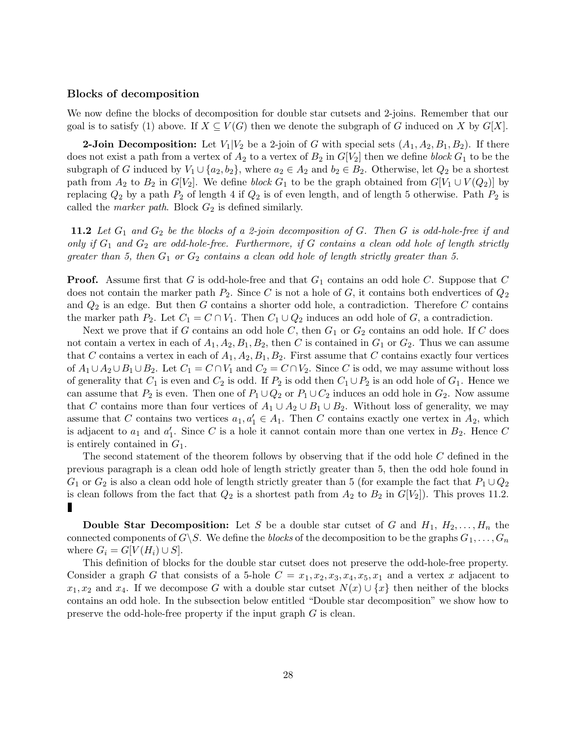#### Blocks of decomposition

We now define the blocks of decomposition for double star cutsets and 2-joins. Remember that our goal is to satisfy (1) above. If  $X \subseteq V(G)$  then we denote the subgraph of G induced on X by  $G[X]$ .

**2-Join Decomposition:** Let  $V_1|V_2$  be a 2-join of G with special sets  $(A_1, A_2, B_1, B_2)$ . If there does not exist a path from a vertex of  $A_2$  to a vertex of  $B_2$  in  $G[V_2]$  then we define block  $G_1$  to be the subgraph of G induced by  $V_1 \cup \{a_2, b_2\}$ , where  $a_2 \in A_2$  and  $b_2 \in B_2$ . Otherwise, let  $Q_2$  be a shortest path from  $A_2$  to  $B_2$  in  $G[V_2]$ . We define block  $G_1$  to be the graph obtained from  $G[V_1 \cup V(Q_2)]$  by replacing  $Q_2$  by a path  $P_2$  of length 4 if  $Q_2$  is of even length, and of length 5 otherwise. Path  $P_2$  is called the *marker path*. Block  $G_2$  is defined similarly.

**11.2** Let  $G_1$  and  $G_2$  be the blocks of a 2-join decomposition of G. Then G is odd-hole-free if and only if  $G_1$  and  $G_2$  are odd-hole-free. Furthermore, if G contains a clean odd hole of length strictly greater than 5, then  $G_1$  or  $G_2$  contains a clean odd hole of length strictly greater than 5.

**Proof.** Assume first that G is odd-hole-free and that  $G_1$  contains an odd hole C. Suppose that C does not contain the marker path  $P_2$ . Since C is not a hole of G, it contains both endvertices of  $Q_2$ and  $Q_2$  is an edge. But then G contains a shorter odd hole, a contradiction. Therefore C contains the marker path P<sub>2</sub>. Let  $C_1 = C \cap V_1$ . Then  $C_1 \cup Q_2$  induces an odd hole of G, a contradiction.

Next we prove that if G contains an odd hole C, then  $G_1$  or  $G_2$  contains an odd hole. If C does not contain a vertex in each of  $A_1, A_2, B_1, B_2$ , then C is contained in  $G_1$  or  $G_2$ . Thus we can assume that C contains a vertex in each of  $A_1, A_2, B_1, B_2$ . First assume that C contains exactly four vertices of  $A_1 \cup A_2 \cup B_1 \cup B_2$ . Let  $C_1 = C \cap V_1$  and  $C_2 = C \cap V_2$ . Since C is odd, we may assume without loss of generality that  $C_1$  is even and  $C_2$  is odd. If  $P_2$  is odd then  $C_1 \cup P_2$  is an odd hole of  $G_1$ . Hence we can assume that  $P_2$  is even. Then one of  $P_1 \cup Q_2$  or  $P_1 \cup C_2$  induces an odd hole in  $G_2$ . Now assume that C contains more than four vertices of  $A_1 \cup A_2 \cup B_1 \cup B_2$ . Without loss of generality, we may assume that C contains two vertices  $a_1, a'_1 \in A_1$ . Then C contains exactly one vertex in  $A_2$ , which is adjacent to  $a_1$  and  $a'_1$ . Since C is a hole it cannot contain more than one vertex in  $B_2$ . Hence C is entirely contained in  $G_1$ .

The second statement of the theorem follows by observing that if the odd hole C defined in the previous paragraph is a clean odd hole of length strictly greater than 5, then the odd hole found in  $G_1$  or  $G_2$  is also a clean odd hole of length strictly greater than 5 (for example the fact that  $P_1 \cup Q_2$ is clean follows from the fact that  $Q_2$  is a shortest path from  $A_2$  to  $B_2$  in  $G[V_2]$ ). This proves 11.2. Ш

**Double Star Decomposition:** Let S be a double star cutset of G and  $H_1, H_2, \ldots, H_n$  the connected components of  $G\backslash S$ . We define the *blocks* of the decomposition to be the graphs  $G_1, \ldots, G_n$ where  $G_i = G[V(H_i) \cup S]$ .

This definition of blocks for the double star cutset does not preserve the odd-hole-free property. Consider a graph G that consists of a 5-hole  $C = x_1, x_2, x_3, x_4, x_5, x_1$  and a vertex x adjacent to  $x_1, x_2$  and  $x_4$ . If we decompose G with a double star cutset  $N(x) \cup \{x\}$  then neither of the blocks contains an odd hole. In the subsection below entitled "Double star decomposition" we show how to preserve the odd-hole-free property if the input graph G is clean.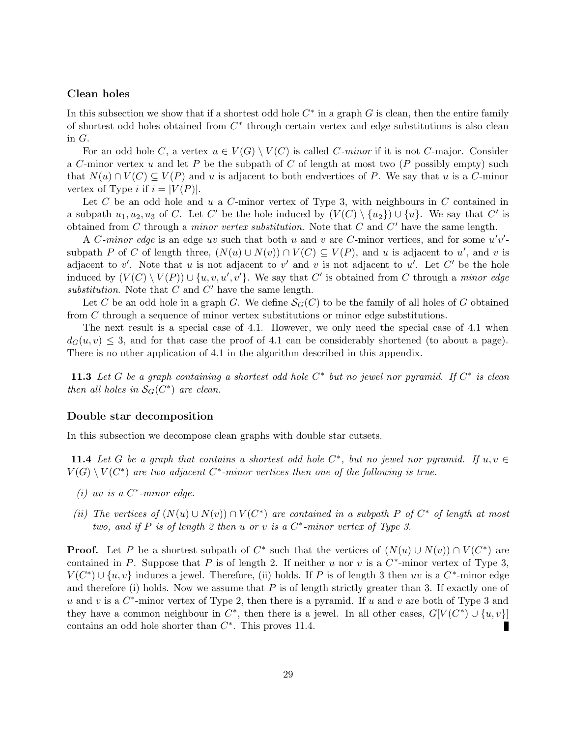#### Clean holes

In this subsection we show that if a shortest odd hole  $C^*$  in a graph G is clean, then the entire family of shortest odd holes obtained from  $C^*$  through certain vertex and edge substitutions is also clean in G.

For an odd hole C, a vertex  $u \in V(G) \setminus V(C)$  is called C-minor if it is not C-major. Consider a C-minor vertex u and let P be the subpath of C of length at most two  $(P$  possibly empty) such that  $N(u) \cap V(C) \subseteq V(P)$  and u is adjacent to both endvertices of P. We say that u is a C-minor vertex of Type *i* if  $i = |V(P)|$ .

Let C be an odd hole and u a C-minor vertex of Type 3, with neighbours in C contained in a subpath  $u_1, u_2, u_3$  of C. Let C' be the hole induced by  $(V(C) \setminus \{u_2\}) \cup \{u\}$ . We say that C' is obtained from C through a *minor vertex substitution*. Note that  $\overrightarrow{C}$  and  $\overrightarrow{C}'$  have the same length.

A C-minor edge is an edge uv such that both u and v are C-minor vertices, and for some  $u'v'$ subpath P of C of length three,  $(N(u) \cup N(v)) \cap V(C) \subseteq V(P)$ , and u is adjacent to u', and v is adjacent to v'. Note that u is not adjacent to v' and v is not adjacent to u'. Let C' be the hole induced by  $(V(C) \setminus V(P)) \cup \{u, v, u', v'\}$ . We say that C' is obtained from C through a *minor edge* substitution. Note that  $C$  and  $C'$  have the same length.

Let C be an odd hole in a graph G. We define  $\mathcal{S}_{G}(C)$  to be the family of all holes of G obtained from C through a sequence of minor vertex substitutions or minor edge substitutions.

The next result is a special case of 4.1. However, we only need the special case of 4.1 when  $d_G(u, v) \leq 3$ , and for that case the proof of 4.1 can be considerably shortened (to about a page). There is no other application of 4.1 in the algorithm described in this appendix.

**11.3** Let G be a graph containing a shortest odd hole  $C^*$  but no jewel nor pyramid. If  $C^*$  is clean then all holes in  $S_G(C^*)$  are clean.

#### Double star decomposition

In this subsection we decompose clean graphs with double star cutsets.

**11.4** Let G be a graph that contains a shortest odd hole  $C^*$ , but no jewel nor pyramid. If  $u, v \in$  $V(G) \setminus V(C^*)$  are two adjacent  $C^*$ -minor vertices then one of the following is true.

- (i) uv is a  $C^*$ -minor edge.
- (ii) The vertices of  $(N(u) \cup N(v)) \cap V(C^*)$  are contained in a subpath P of  $C^*$  of length at most two, and if P is of length 2 then  $u$  or  $v$  is a  $C^*$ -minor vertex of Type 3.

**Proof.** Let P be a shortest subpath of  $C^*$  such that the vertices of  $(N(u) \cup N(v)) \cap V(C^*)$  are contained in P. Suppose that P is of length 2. If neither u nor v is a  $C^*$ -minor vertex of Type 3,  $V(C^*) \cup \{u, v\}$  induces a jewel. Therefore, (ii) holds. If P is of length 3 then uv is a  $C^*$ -minor edge and therefore (i) holds. Now we assume that  $P$  is of length strictly greater than 3. If exactly one of u and v is a  $C^*$ -minor vertex of Type 2, then there is a pyramid. If u and v are both of Type 3 and they have a common neighbour in  $C^*$ , then there is a jewel. In all other cases,  $G[V(C^*)] \cup \{u, v\}]$ contains an odd hole shorter than  $C^*$ . This proves 11.4. П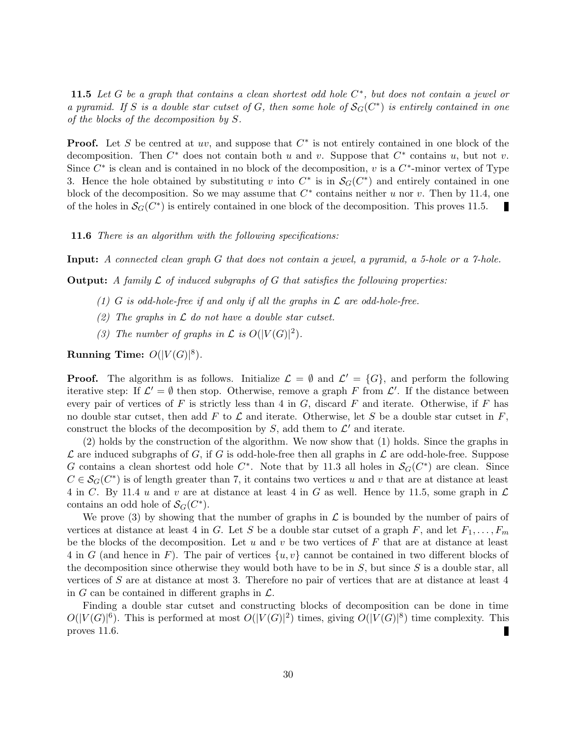**11.5** Let G be a graph that contains a clean shortest odd hole  $C^*$ , but does not contain a jewel or a pyramid. If S is a double star cutset of G, then some hole of  $\mathcal{S}_G(C^*)$  is entirely contained in one of the blocks of the decomposition by S.

**Proof.** Let S be centred at uv, and suppose that  $C^*$  is not entirely contained in one block of the decomposition. Then  $C^*$  does not contain both u and v. Suppose that  $C^*$  contains u, but not v. Since  $C^*$  is clean and is contained in no block of the decomposition, v is a  $C^*$ -minor vertex of Type 3. Hence the hole obtained by substituting v into  $C^*$  is in  $\mathcal{S}_G(C^*)$  and entirely contained in one block of the decomposition. So we may assume that  $C^*$  contains neither u nor v. Then by 11.4, one of the holes in  $\mathcal{S}_{G}(C^*)$  is entirely contained in one block of the decomposition. This proves 11.5.

**11.6** There is an algorithm with the following specifications:

Input: A connected clean graph G that does not contain a jewel, a pyramid, a 5-hole or a 7-hole.

**Output:** A family  $\mathcal{L}$  of induced subgraphs of  $G$  that satisfies the following properties:

- (1) G is odd-hole-free if and only if all the graphs in  $\mathcal L$  are odd-hole-free.
- (2) The graphs in  $\mathcal L$  do not have a double star cutset.
- (3) The number of graphs in  $\mathcal L$  is  $O(|V(G)|^2)$ .

Running Time:  $O(|V(G)|^8)$ .

**Proof.** The algorithm is as follows. Initialize  $\mathcal{L} = \emptyset$  and  $\mathcal{L}' = \{G\}$ , and perform the following iterative step: If  $\mathcal{L}' = \emptyset$  then stop. Otherwise, remove a graph F from  $\mathcal{L}'$ . If the distance between every pair of vertices of  $F$  is strictly less than 4 in  $G$ , discard  $F$  and iterate. Otherwise, if  $F$  has no double star cutset, then add F to  $\mathcal L$  and iterate. Otherwise, let S be a double star cutset in F, construct the blocks of the decomposition by S, add them to  $\mathcal{L}'$  and iterate.

(2) holds by the construction of the algorithm. We now show that (1) holds. Since the graphs in  $\mathcal L$  are induced subgraphs of G, if G is odd-hole-free then all graphs in  $\mathcal L$  are odd-hole-free. Suppose G contains a clean shortest odd hole  $C^*$ . Note that by 11.3 all holes in  $\mathcal{S}_G(C^*)$  are clean. Since  $C \in \mathcal{S}_G(C^*)$  is of length greater than 7, it contains two vertices u and v that are at distance at least 4 in C. By 11.4 u and v are at distance at least 4 in G as well. Hence by 11.5, some graph in  $\mathcal L$ contains an odd hole of  $\mathcal{S}_G(C^*)$ .

We prove (3) by showing that the number of graphs in  $\mathcal L$  is bounded by the number of pairs of vertices at distance at least 4 in G. Let S be a double star cutset of a graph F, and let  $F_1, \ldots, F_m$ be the blocks of the decomposition. Let  $u$  and  $v$  be two vertices of  $F$  that are at distance at least 4 in G (and hence in F). The pair of vertices  $\{u, v\}$  cannot be contained in two different blocks of the decomposition since otherwise they would both have to be in  $S$ , but since  $S$  is a double star, all vertices of S are at distance at most 3. Therefore no pair of vertices that are at distance at least 4 in G can be contained in different graphs in  $\mathcal{L}$ .

Finding a double star cutset and constructing blocks of decomposition can be done in time  $O(|V(G)|^6)$ . This is performed at most  $O(|V(G)|^2)$  times, giving  $O(|V(G)|^8)$  time complexity. This proves 11.6. г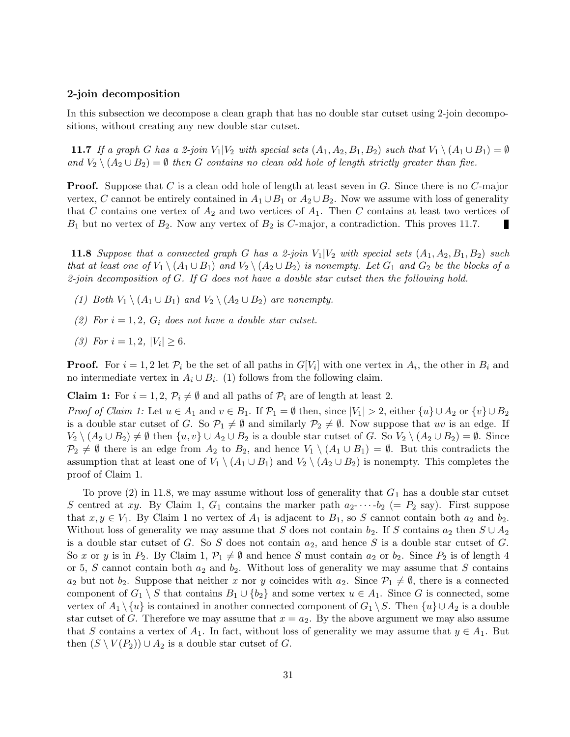#### 2-join decomposition

In this subsection we decompose a clean graph that has no double star cutset using 2-join decompositions, without creating any new double star cutset.

11.7 If a graph G has a 2-join  $V_1|V_2$  with special sets  $(A_1, A_2, B_1, B_2)$  such that  $V_1 \setminus (A_1 \cup B_1) = \emptyset$ and  $V_2 \setminus (A_2 \cup B_2) = \emptyset$  then G contains no clean odd hole of length strictly greater than five.

**Proof.** Suppose that C is a clean odd hole of length at least seven in G. Since there is no C-major vertex, C cannot be entirely contained in  $A_1 \cup B_1$  or  $A_2 \cup B_2$ . Now we assume with loss of generality that C contains one vertex of  $A_2$  and two vertices of  $A_1$ . Then C contains at least two vertices of  $B_1$  but no vertex of  $B_2$ . Now any vertex of  $B_2$  is C-major, a contradiction. This proves 11.7. Г

**11.8** Suppose that a connected graph G has a 2-join  $V_1|V_2$  with special sets  $(A_1, A_2, B_1, B_2)$  such that at least one of  $V_1 \setminus (A_1 \cup B_1)$  and  $V_2 \setminus (A_2 \cup B_2)$  is nonempty. Let  $G_1$  and  $G_2$  be the blocks of a 2-join decomposition of G. If G does not have a double star cutset then the following hold.

- (1) Both  $V_1 \setminus (A_1 \cup B_1)$  and  $V_2 \setminus (A_2 \cup B_2)$  are nonempty.
- (2) For  $i = 1, 2, G_i$  does not have a double star cutset.
- (3) For  $i = 1, 2, |V_i| \geq 6$ .

**Proof.** For  $i = 1, 2$  let  $\mathcal{P}_i$  be the set of all paths in  $G[V_i]$  with one vertex in  $A_i$ , the other in  $B_i$  and no intermediate vertex in  $A_i \cup B_i$ . (1) follows from the following claim.

**Claim 1:** For  $i = 1, 2, \mathcal{P}_i \neq \emptyset$  and all paths of  $\mathcal{P}_i$  are of length at least 2.

*Proof of Claim 1:* Let  $u \in A_1$  and  $v \in B_1$ . If  $\mathcal{P}_1 = \emptyset$  then, since  $|V_1| > 2$ , either  $\{u\} \cup A_2$  or  $\{v\} \cup B_2$ is a double star cutset of G. So  $\mathcal{P}_1 \neq \emptyset$  and similarly  $\mathcal{P}_2 \neq \emptyset$ . Now suppose that uv is an edge. If  $V_2 \setminus (A_2 \cup B_2) \neq \emptyset$  then  $\{u, v\} \cup A_2 \cup B_2$  is a double star cutset of G. So  $V_2 \setminus (A_2 \cup B_2) = \emptyset$ . Since  $\mathcal{P}_2 \neq \emptyset$  there is an edge from  $A_2$  to  $B_2$ , and hence  $V_1 \setminus (A_1 \cup B_1) = \emptyset$ . But this contradicts the assumption that at least one of  $V_1 \setminus (A_1 \cup B_1)$  and  $V_2 \setminus (A_2 \cup B_2)$  is nonempty. This completes the proof of Claim 1.

To prove  $(2)$  in 11.8, we may assume without loss of generality that  $G_1$  has a double star cutset S centred at xy. By Claim 1,  $G_1$  contains the marker path  $a_2$ - $\cdots$ - $b_2$  (=  $P_2$  say). First suppose that  $x, y \in V_1$ . By Claim 1 no vertex of  $A_1$  is adjacent to  $B_1$ , so S cannot contain both  $a_2$  and  $b_2$ . Without loss of generality we may assume that S does not contain  $b_2$ . If S contains  $a_2$  then  $S \cup A_2$ is a double star cutset of G. So S does not contain  $a_2$ , and hence S is a double star cutset of G. So x or y is in  $P_2$ . By Claim 1,  $\mathcal{P}_1 \neq \emptyset$  and hence S must contain  $a_2$  or  $b_2$ . Since  $P_2$  is of length 4 or 5, S cannot contain both  $a_2$  and  $b_2$ . Without loss of generality we may assume that S contains  $a_2$  but not  $b_2$ . Suppose that neither x nor y coincides with  $a_2$ . Since  $\mathcal{P}_1 \neq \emptyset$ , there is a connected component of  $G_1 \setminus S$  that contains  $B_1 \cup \{b_2\}$  and some vertex  $u \in A_1$ . Since G is connected, some vertex of  $A_1 \setminus \{u\}$  is contained in another connected component of  $G_1 \setminus S$ . Then  $\{u\} \cup A_2$  is a double star cutset of G. Therefore we may assume that  $x = a_2$ . By the above argument we may also assume that S contains a vertex of  $A_1$ . In fact, without loss of generality we may assume that  $y \in A_1$ . But then  $(S \setminus V(P_2)) \cup A_2$  is a double star cutset of G.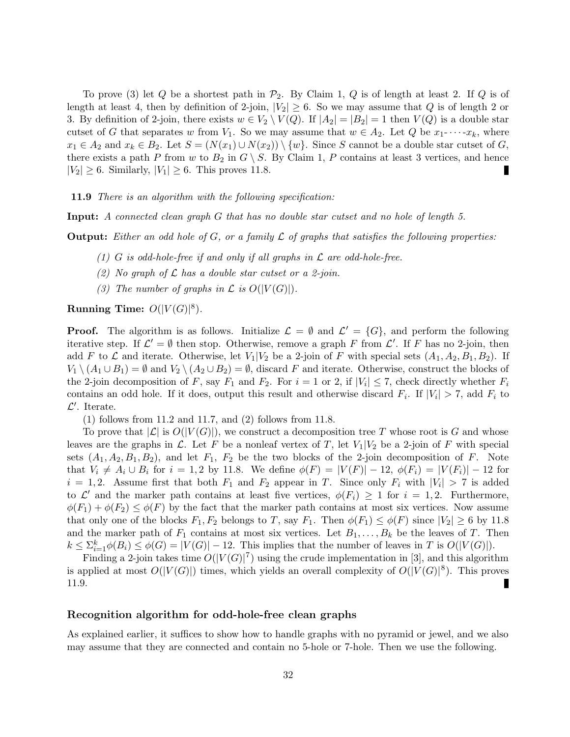To prove (3) let Q be a shortest path in  $\mathcal{P}_2$ . By Claim 1, Q is of length at least 2. If Q is of length at least 4, then by definition of 2-join,  $|V_2| \geq 6$ . So we may assume that Q is of length 2 or 3. By definition of 2-join, there exists  $w \in V_2 \setminus V(Q)$ . If  $|A_2| = |B_2| = 1$  then  $V(Q)$  is a double star cutset of G that separates w from  $V_1$ . So we may assume that  $w \in A_2$ . Let Q be  $x_1$ - $\cdots$ - $x_k$ , where  $x_1 \in A_2$  and  $x_k \in B_2$ . Let  $S = (N(x_1) \cup N(x_2)) \setminus \{w\}$ . Since S cannot be a double star cutset of G, there exists a path P from w to  $B_2$  in  $G \setminus S$ . By Claim 1, P contains at least 3 vertices, and hence  $|V_2| \geq 6$ . Similarly,  $|V_1| \geq 6$ . This proves 11.8.

**11.9** There is an algorithm with the following specification:

Input: A connected clean graph G that has no double star cutset and no hole of length 5.

**Output:** Either an odd hole of G, or a family  $\mathcal L$  of graphs that satisfies the following properties:

- (1) G is odd-hole-free if and only if all graphs in  $\mathcal L$  are odd-hole-free.
- (2) No graph of  $\mathcal L$  has a double star cutset or a 2-join.
- (3) The number of graphs in  $\mathcal L$  is  $O(|V(G)|)$ .

Running Time:  $O(|V(G)|^8)$ .

**Proof.** The algorithm is as follows. Initialize  $\mathcal{L} = \emptyset$  and  $\mathcal{L}' = \{G\}$ , and perform the following iterative step. If  $\mathcal{L}' = \emptyset$  then stop. Otherwise, remove a graph F from  $\mathcal{L}'$ . If F has no 2-join, then add F to L and iterate. Otherwise, let  $V_1|V_2$  be a 2-join of F with special sets  $(A_1, A_2, B_1, B_2)$ . If  $V_1 \setminus (A_1 \cup B_1) = \emptyset$  and  $V_2 \setminus (A_2 \cup B_2) = \emptyset$ , discard F and iterate. Otherwise, construct the blocks of the 2-join decomposition of F, say  $F_1$  and  $F_2$ . For  $i = 1$  or 2, if  $|V_i| \leq 7$ , check directly whether  $F_i$ contains an odd hole. If it does, output this result and otherwise discard  $F_i$ . If  $|V_i| > 7$ , add  $F_i$  to  $\mathcal{L}'$ . Iterate.

(1) follows from 11.2 and 11.7, and (2) follows from 11.8.

To prove that  $|\mathcal{L}|$  is  $O(|V(G)|)$ , we construct a decomposition tree T whose root is G and whose leaves are the graphs in  $\mathcal{L}$ . Let F be a nonleaf vertex of T, let  $V_1|V_2$  be a 2-join of F with special sets  $(A_1, A_2, B_1, B_2)$ , and let  $F_1$ ,  $F_2$  be the two blocks of the 2-join decomposition of F. Note that  $V_i \neq A_i \cup B_i$  for  $i = 1, 2$  by 11.8. We define  $\phi(F) = |V(F)| - 12$ ,  $\phi(F_i) = |V(F_i)| - 12$  for  $i = 1, 2$ . Assume first that both  $F_1$  and  $F_2$  appear in T. Since only  $F_i$  with  $|V_i| > 7$  is added to  $\mathcal{L}'$  and the marker path contains at least five vertices,  $\phi(F_i) \geq 1$  for  $i = 1, 2$ . Furthermore,  $\phi(F_1) + \phi(F_2) \leq \phi(F)$  by the fact that the marker path contains at most six vertices. Now assume that only one of the blocks  $F_1, F_2$  belongs to T, say  $F_1$ . Then  $\phi(F_1) \leq \phi(F)$  since  $|V_2| \geq 6$  by 11.8 and the marker path of  $F_1$  contains at most six vertices. Let  $B_1, \ldots, B_k$  be the leaves of T. Then  $k \leq \sum_{i=1}^k \phi(B_i) \leq \phi(G) = |V(G)| - 12$ . This implies that the number of leaves in T is  $O(|V(G)|)$ .

Finding a 2-join takes time  $O(|V(G)|^7)$  using the crude implementation in [3], and this algorithm is applied at most  $O(|V(G)|)$  times, which yields an overall complexity of  $O(|V(G)|^8)$ . This proves 11.9. Г

#### Recognition algorithm for odd-hole-free clean graphs

As explained earlier, it suffices to show how to handle graphs with no pyramid or jewel, and we also may assume that they are connected and contain no 5-hole or 7-hole. Then we use the following.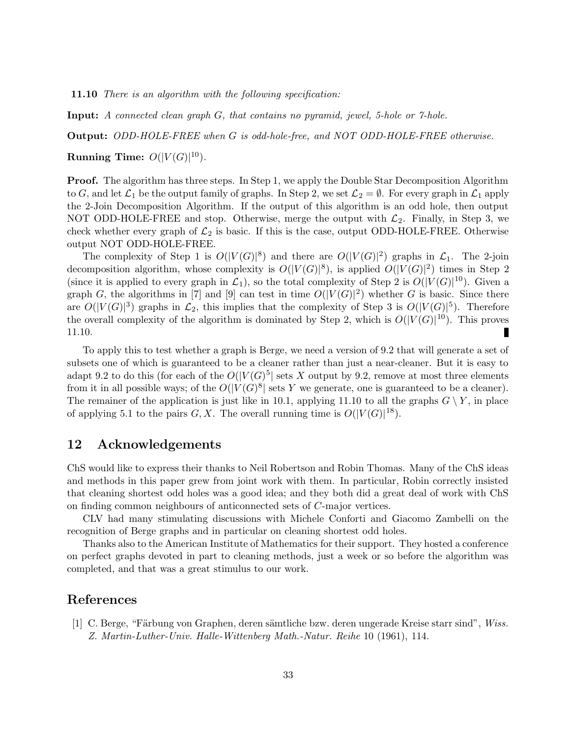11.10 There is an algorithm with the following specification:

Input: A connected clean graph G, that contains no pyramid, jewel, 5-hole or 7-hole.

Output: ODD-HOLE-FREE when G is odd-hole-free, and NOT ODD-HOLE-FREE otherwise.

Running Time:  $O(|V(G)|^{10})$ .

**Proof.** The algorithm has three steps. In Step 1, we apply the Double Star Decomposition Algorithm to G, and let  $\mathcal{L}_1$  be the output family of graphs. In Step 2, we set  $\mathcal{L}_2 = \emptyset$ . For every graph in  $\mathcal{L}_1$  apply the 2-Join Decomposition Algorithm. If the output of this algorithm is an odd hole, then output NOT ODD-HOLE-FREE and stop. Otherwise, merge the output with  $\mathcal{L}_2$ . Finally, in Step 3, we check whether every graph of  $\mathcal{L}_2$  is basic. If this is the case, output ODD-HOLE-FREE. Otherwise output NOT ODD-HOLE-FREE.

The complexity of Step 1 is  $O(|V(G)|^8)$  and there are  $O(|V(G)|^2)$  graphs in  $\mathcal{L}_1$ . The 2-join decomposition algorithm, whose complexity is  $O(|V(G)|^8)$ , is applied  $O(|V(G)|^2)$  times in Step 2 (since it is applied to every graph in  $\mathcal{L}_1$ ), so the total complexity of Step 2 is  $O(|V(G)|^{10})$ . Given a graph G, the algorithms in [7] and [9] can test in time  $O(|V(G)|^2)$  whether G is basic. Since there are  $O(|V(G)|^3)$  graphs in  $\mathcal{L}_2$ , this implies that the complexity of Step 3 is  $O(|V(G)|^5)$ . Therefore the overall complexity of the algorithm is dominated by Step 2, which is  $O(|V(G)|^{10})$ . This proves 11.10. П

To apply this to test whether a graph is Berge, we need a version of 9.2 that will generate a set of subsets one of which is guaranteed to be a cleaner rather than just a near-cleaner. But it is easy to adapt 9.2 to do this (for each of the  $O(|V(G)^5|)$  sets X output by 9.2, remove at most three elements from it in all possible ways; of the  $O(|V(G)^{8}|)$  sets Y we generate, one is guaranteed to be a cleaner). The remainer of the application is just like in 10.1, applying 11.10 to all the graphs  $G \setminus Y$ , in place of applying 5.1 to the pairs  $G, X$ . The overall running time is  $O(|V(G)|^{18})$ .

## 12 Acknowledgements

ChS would like to express their thanks to Neil Robertson and Robin Thomas. Many of the ChS ideas and methods in this paper grew from joint work with them. In particular, Robin correctly insisted that cleaning shortest odd holes was a good idea; and they both did a great deal of work with ChS on finding common neighbours of anticonnected sets of C-major vertices.

CLV had many stimulating discussions with Michele Conforti and Giacomo Zambelli on the recognition of Berge graphs and in particular on cleaning shortest odd holes.

Thanks also to the American Institute of Mathematics for their support. They hosted a conference on perfect graphs devoted in part to cleaning methods, just a week or so before the algorithm was completed, and that was a great stimulus to our work.

### References

[1] C. Berge, "Färbung von Graphen, deren sämtliche bzw. deren ungerade Kreise starr sind", Wiss. Z. Martin-Luther-Univ. Halle-Wittenberg Math.-Natur. Reihe 10 (1961), 114.